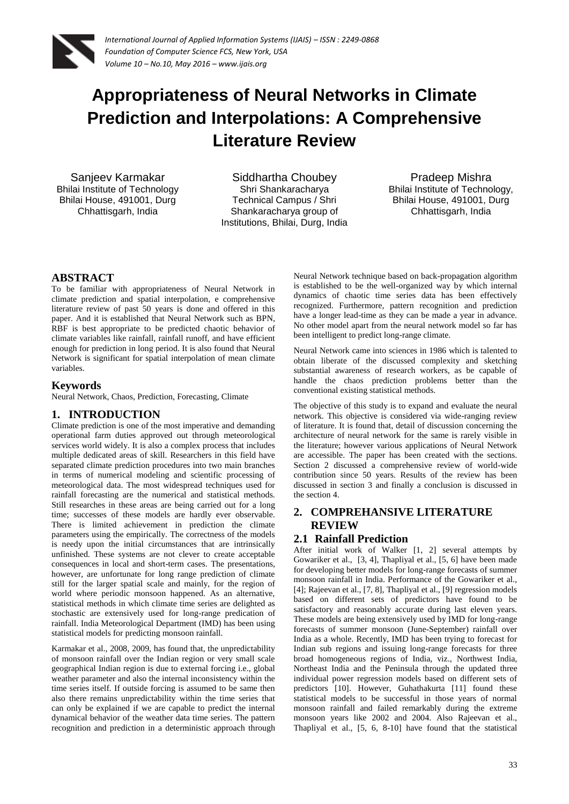

# **Appropriateness of Neural Networks in Climate Prediction and Interpolations: A Comprehensive Literature Review**

Sanjeev Karmakar Bhilai Institute of Technology Bhilai House, 491001, Durg Chhattisgarh, India

Siddhartha Choubey Shri Shankaracharya Technical Campus / Shri Shankaracharya group of Institutions, Bhilai, Durg, India

Pradeep Mishra Bhilai Institute of Technology, Bhilai House, 491001, Durg Chhattisgarh, India

## **ABSTRACT**

To be familiar with appropriateness of Neural Network in climate prediction and spatial interpolation, e comprehensive literature review of past 50 years is done and offered in this paper. And it is established that Neural Network such as BPN, RBF is best appropriate to be predicted chaotic behavior of climate variables like rainfall, rainfall runoff, and have efficient enough for prediction in long period. It is also found that Neural Network is significant for spatial interpolation of mean climate variables.

#### **Keywords**

Neural Network, Chaos, Prediction, Forecasting, Climate

#### **1. INTRODUCTION**

Climate prediction is one of the most imperative and demanding operational farm duties approved out through meteorological services world widely. It is also a complex process that includes multiple dedicated areas of skill. Researchers in this field have separated climate prediction procedures into two main branches in terms of numerical modeling and scientific processing of meteorological data. The most widespread techniques used for rainfall forecasting are the numerical and statistical methods. Still researches in these areas are being carried out for a long time; successes of these models are hardly ever observable. There is limited achievement in prediction the climate parameters using the empirically. The correctness of the models is needy upon the initial circumstances that are intrinsically unfinished. These systems are not clever to create acceptable consequences in local and short-term cases. The presentations, however, are unfortunate for long range prediction of climate still for the larger spatial scale and mainly, for the region of world where periodic monsoon happened. As an alternative, statistical methods in which climate time series are delighted as stochastic are extensively used for long-range predication of rainfall. India Meteorological Department (IMD) has been using statistical models for predicting monsoon rainfall.

Karmakar et al., 2008, 2009, has found that, the unpredictability of monsoon rainfall over the Indian region or very small scale geographical Indian region is due to external forcing i.e., global weather parameter and also the internal inconsistency within the time series itself. If outside forcing is assumed to be same then also there remains unpredictability within the time series that can only be explained if we are capable to predict the internal dynamical behavior of the weather data time series. The pattern recognition and prediction in a deterministic approach through Neural Network technique based on back-propagation algorithm is established to be the well-organized way by which internal dynamics of chaotic time series data has been effectively recognized. Furthermore, pattern recognition and prediction have a longer lead-time as they can be made a year in advance. No other model apart from the neural network model so far has been intelligent to predict long-range climate.

Neural Network came into sciences in 1986 which is talented to obtain liberate of the discussed complexity and sketching substantial awareness of research workers, as be capable of handle the chaos prediction problems better than the conventional existing statistical methods.

The objective of this study is to expand and evaluate the neural network. This objective is considered via wide-ranging review of literature. It is found that, detail of discussion concerning the architecture of neural network for the same is rarely visible in the literature; however various applications of Neural Network are accessible. The paper has been created with the sections. Section 2 discussed a comprehensive review of world-wide contribution since 50 years. Results of the review has been discussed in section 3 and finally a conclusion is discussed in the section 4.

## **2. COMPREHANSIVE LITERATURE REVIEW**

#### **2.1 Rainfall Prediction**

After initial work of Walker [1, 2] several attempts by Gowariker et al., [3, 4], Thapliyal et al., [5, 6] have been made for developing better models for long-range forecasts of summer monsoon rainfall in India. Performance of the Gowariker et al., [4]; Rajeevan et al., [7, 8], Thapliyal et al., [9] regression models based on different sets of predictors have found to be satisfactory and reasonably accurate during last eleven years. These models are being extensively used by IMD for long-range forecasts of summer monsoon (June-September) rainfall over India as a whole. Recently, IMD has been trying to forecast for Indian sub regions and issuing long-range forecasts for three broad homogeneous regions of India, viz., Northwest India, Northeast India and the Peninsula through the updated three individual power regression models based on different sets of predictors [10]. However, Guhathakurta [11] found these statistical models to be successful in those years of normal monsoon rainfall and failed remarkably during the extreme monsoon years like 2002 and 2004. Also Rajeevan et al., Thapliyal et al., [5, 6, 8-10] have found that the statistical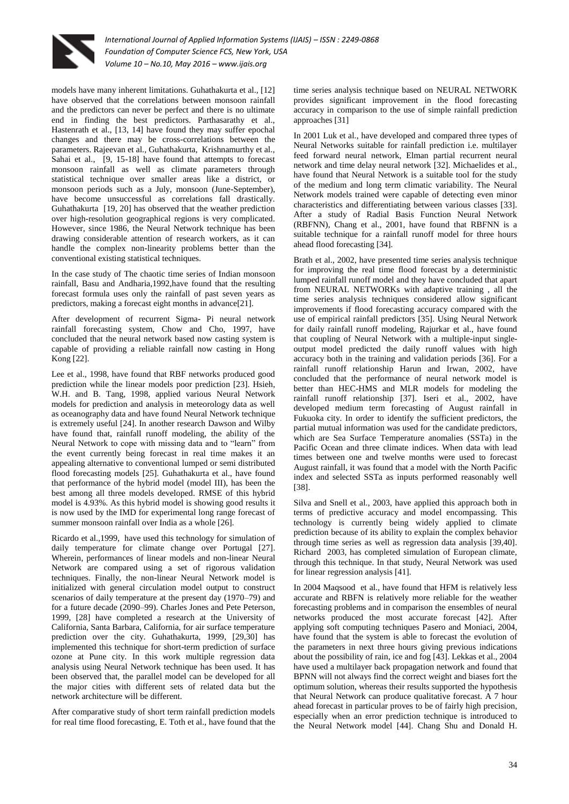

models have many inherent limitations. Guhathakurta et al., [12] have observed that the correlations between monsoon rainfall and the predictors can never be perfect and there is no ultimate end in finding the best predictors. Parthasarathy et al., Hastenrath et al., [13, 14] have found they may suffer epochal changes and there may be cross-correlations between the parameters. Rajeevan et al., Guhathakurta, Krishnamurthy et al., Sahai et al., [9, 15-18] have found that attempts to forecast monsoon rainfall as well as climate parameters through statistical technique over smaller areas like a district, or monsoon periods such as a July, monsoon (June-September), have become unsuccessful as correlations fall drastically. Guhathakurta [19, 20] has observed that the weather prediction over high-resolution geographical regions is very complicated. However, since 1986, the Neural Network technique has been drawing considerable attention of research workers, as it can handle the complex non-linearity problems better than the conventional existing statistical techniques.

In the case study of The chaotic time series of Indian monsoon rainfall, Basu and Andharia,1992,have found that the resulting forecast formula uses only the rainfall of past seven years as predictors, making a forecast eight months in advance[21].

After development of recurrent Sigma- Pi neural network rainfall forecasting system, Chow and Cho, 1997, have concluded that the neural network based now casting system is capable of providing a reliable rainfall now casting in Hong Kong [22].

Lee et al., 1998, have found that RBF networks produced good prediction while the linear models poor prediction [23]. Hsieh, W.H. and B. Tang, 1998, applied various Neural Network models for prediction and analysis in meteorology data as well as oceanography data and have found Neural Network technique is extremely useful [24]. In another research Dawson and Wilby have found that, rainfall runoff modeling, the ability of the Neural Network to cope with missing data and to "learn" from the event currently being forecast in real time makes it an appealing alternative to conventional lumped or semi distributed flood forecasting models [25]. Guhathakurta et al., have found that performance of the hybrid model (model III), has been the best among all three models developed. RMSE of this hybrid model is 4.93%. As this hybrid model is showing good results it is now used by the IMD for experimental long range forecast of summer monsoon rainfall over India as a whole [26].

Ricardo et al.,1999, have used this technology for simulation of daily temperature for climate change over Portugal [27]. Wherein, performances of linear models and non-linear Neural Network are compared using a set of rigorous validation techniques. Finally, the non-linear Neural Network model is initialized with general circulation model output to construct scenarios of daily temperature at the present day (1970–79) and for a future decade (2090–99). Charles Jones and Pete Peterson, 1999, [28] have completed a research at the University of California, Santa Barbara, California, for air surface temperature prediction over the city. Guhathakurta, 1999, [29,30] has implemented this technique for short-term prediction of surface ozone at Pune city. In this work multiple regression data analysis using Neural Network technique has been used. It has been observed that, the parallel model can be developed for all the major cities with different sets of related data but the network architecture will be different.

After comparative study of short term rainfall prediction models for real time flood forecasting, E. Toth et al., have found that the time series analysis technique based on NEURAL NETWORK provides significant improvement in the flood forecasting accuracy in comparison to the use of simple rainfall prediction approaches [31]

In 2001 Luk et al., have developed and compared three types of Neural Networks suitable for rainfall prediction i.e. multilayer feed forward neural network, Elman partial recurrent neural network and time delay neural network [32]. Michaelides et al., have found that Neural Network is a suitable tool for the study of the medium and long term climatic variability. The Neural Network models trained were capable of detecting even minor characteristics and differentiating between various classes [33]. After a study of Radial Basis Function Neural Network (RBFNN), Chang et al., 2001, have found that RBFNN is a suitable technique for a rainfall runoff model for three hours ahead flood forecasting [34].

Brath et al., 2002, have presented time series analysis technique for improving the real time flood forecast by a deterministic lumped rainfall runoff model and they have concluded that apart from NEURAL NETWORKs with adaptive training , all the time series analysis techniques considered allow significant improvements if flood forecasting accuracy compared with the use of empirical rainfall predictors [35]. Using Neural Network for daily rainfall runoff modeling, Rajurkar et al., have found that coupling of Neural Network with a multiple-input singleoutput model predicted the daily runoff values with high accuracy both in the training and validation periods [36]. For a rainfall runoff relationship Harun and Irwan, 2002, have concluded that the performance of neural network model is better than HEC-HMS and MLR models for modeling the rainfall runoff relationship [37]. Iseri et al., 2002, have developed medium term forecasting of August rainfall in Fukuoka city. In order to identify the sufficient predictors, the partial mutual information was used for the candidate predictors, which are Sea Surface Temperature anomalies (SSTa) in the Pacific Ocean and three climate indices. When data with lead times between one and twelve months were used to forecast August rainfall, it was found that a model with the North Pacific index and selected SSTa as inputs performed reasonably well [38].

Silva and Snell et al., 2003, have applied this approach both in terms of predictive accuracy and model encompassing. This technology is currently being widely applied to climate prediction because of its ability to explain the complex behavior through time series as well as regression data analysis [39,40]. Richard 2003, has completed simulation of European climate, through this technique. In that study, Neural Network was used for linear regression analysis [41].

In 2004 Maqsood et al., have found that HFM is relatively less accurate and RBFN is relatively more reliable for the weather forecasting problems and in comparison the ensembles of neural networks produced the most accurate forecast [42]. After applying soft computing techniques Pasero and Moniaci, 2004, have found that the system is able to forecast the evolution of the parameters in next three hours giving previous indications about the possibility of rain, ice and fog [43]. Lekkas et al., 2004 have used a multilayer back propagation network and found that BPNN will not always find the correct weight and biases fort the optimum solution, whereas their results supported the hypothesis that Neural Network can produce qualitative forecast. A 7 hour ahead forecast in particular proves to be of fairly high precision, especially when an error prediction technique is introduced to the Neural Network model [44]. Chang Shu and Donald H.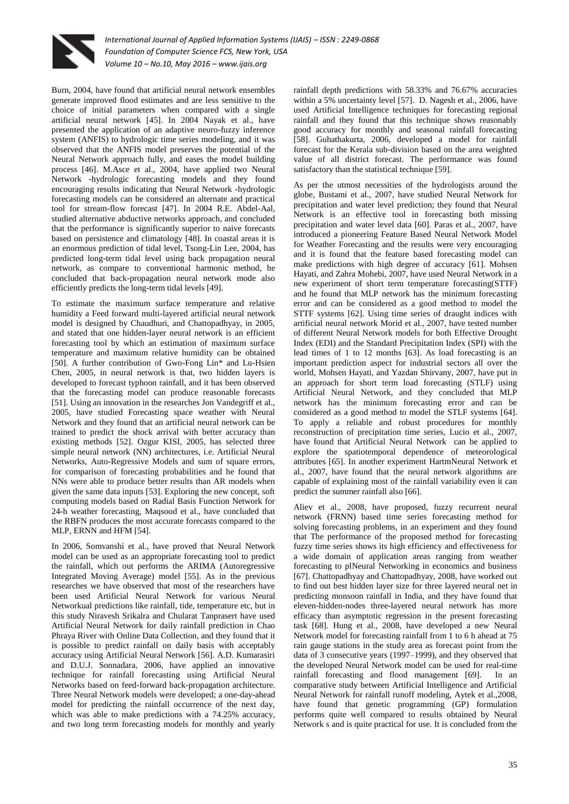

Burn, 2004, have found that artificial neural network ensembles generate improved flood estimates and are less sensitive to the choice of initial parameters when compared with a single artificial neural network [45]. In 2004 Nayak et al., have presented the application of an adaptive neuro-fuzzy inference system (ANFIS) to hydrologic time series modeling, and it was observed that the ANFIS model preserves the potential of the Neural Network approach fully, and eases the model building process [46]. M.Asce et al., 2004, have applied two Neural Network -hydrologic forecasting models and they found encouraging results indicating that Neural Network -hydrologic forecasting models can be considered an alternate and practical tool for stream-flow forecast [47]. In 2004 R.E. Abdel-Aal, studied alternative abductive networks approach, and concluded that the performance is significantly superior to naive forecasts based on persistence and climatology [48]. In coastal areas it is an enormous prediction of tidal level, Tsong-Lin Lee, 2004, has predicted long-term tidal level using back propagation neural network, as compare to conventional harmonic method, he concluded that back-propagation neural network mode also efficiently predicts the long-term tidal levels [49].

To estimate the maximum surface temperature and relative humidity a Feed forward multi-layered artificial neural network model is designed by Chaudhuri, and Chattopadhyay, in 2005, and stated that one hidden-layer neural network is an efficient forecasting tool by which an estimation of maximum surface temperature and maximum relative humidity can be obtained [50]. A further contribution of Gwo-Fong Lin\* and Lu-Hsien Chen, 2005, in neural network is that, two hidden layers is developed to forecast typhoon rainfall, and it has been observed that the forecasting model can produce reasonable forecasts [51]. Using an innovation in the researches Jon Vandegriff et al., 2005, have studied Forecasting space weather with Neural Network and they found that an artificial neural network can be trained to predict the shock arrival with better accuracy than existing methods [52]. Ozgur KISI, 2005, has selected three simple neural network (NN) architectures, i.e. Artificial Neural Networks, Auto-Regressive Models and sum of square errors, for comparison of forecasting probabilities and he found that NNs were able to produce better results than AR models when given the same data inputs [53]. Exploring the new concept, soft computing models based on Radial Basis Function Network for 24-h weather forecasting, Maqsood et al., have concluded that the RBFN produces the most accurate forecasts compared to the MLP, ERNN and HFM [54].

In 2006, Somvanshi et al., have proved that Neural Network model can be used as an appropriate forecasting tool to predict the rainfall, which out performs the ARIMA (Autoregressive Integrated Moving Average) model [55]. As in the previous researches we have observed that most of the researchers have been used Artificial Neural Network for various Neural Networkual predictions like rainfall, tide, temperature etc, but in this study Niravesh Srikalra and Chularat Tanprasert have used Artificial Neural Network for daily rainfall prediction in Chao Phraya River with Online Data Collection, and they found that it is possible to predict rainfall on daily basis with acceptably accuracy using Artificial Neural Network [56]. A.D. Kumarasiri and D.U.J. Sonnadara, 2006, have applied an innovative technique for rainfall forecasting using Artificial Neural Networks based on feed-forward back-propagation architecture. Three Neural Network models were developed; a one-day-ahead model for predicting the rainfall occurrence of the next day, which was able to make predictions with a 74.25% accuracy, and two long term forecasting models for monthly and yearly

rainfall depth predictions with 58.33% and 76.67% accuracies within a 5% uncertainty level [57]. D. Nagesh et al., 2006, have used Artificial Intelligence techniques for forecasting regional rainfall and they found that this technique shows reasonably good accuracy for monthly and seasonal rainfall forecasting [58]. Guhathakurta, 2006, developed a model for rainfall forecast for the Kerala sub-division based on the area weighted value of all district forecast. The performance was found satisfactory than the statistical technique [59].

As per the utmost necessities of the hydrologists around the globe, Bustami et al., 2007, have studied Neural Network for precipitation and water level prediction; they found that Neural Network is an effective tool in forecasting both missing precipitation and water level data [60]. Paras et al., 2007, have introduced a pioneering Feature Based Neural Network Model for Weather Forecasting and the results were very encouraging and it is found that the feature based forecasting model can make predictions with high degree of accuracy [61]. Mohsen Hayati, and Zahra Mohebi, 2007, have used Neural Network in a new experiment of short term temperature forecasting(STTF) and he found that MLP network has the minimum forecasting error and can be considered as a good method to model the STTF systems [62]. Using time series of draught indices with artificial neural network Morid et al., 2007, have tested number of different Neural Network models for both Effective Drought Index (EDI) and the Standard Precipitation Index (SPI) with the lead times of 1 to 12 months [63]. As load forecasting is an important prediction aspect for industrial sectors all over the world, Mohsen Hayati, and Yazdan Shirvany, 2007, have put in an approach for short term load forecasting (STLF) using Artificial Neural Network, and they concluded that MLP network has the minimum forecasting error and can be considered as a good method to model the STLF systems [64]. To apply a reliable and robust procedures for monthly reconstruction of precipitation time series, Lucio et al., 2007, have found that Artificial Neural Network can be applied to explore the spatiotemporal dependence of meteorological attributes [65]. In another experiment HartmNeural Network et al., 2007, have found that the neural network algorithms are capable of explaining most of the rainfall variability even it can predict the summer rainfall also [66].

Aliev et al., 2008, have proposed, fuzzy recurrent neural network (FRNN) based time series forecasting method for solving forecasting problems, in an experiment and they found that The performance of the proposed method for forecasting fuzzy time series shows its high efficiency and effectiveness for a wide domain of application areas ranging from weather forecasting to plNeural Networking in economics and business [67]. Chattopadhyay and Chattopadhyay, 2008, have worked out to find out best hidden layer size for three layered neural net in predicting monsoon rainfall in India, and they have found that eleven-hidden-nodes three-layered neural network has more efficacy than asymptotic regression in the present forecasting task [68]. Hung et al., 2008, have developed a new Neural Network model for forecasting rainfall from 1 to 6 h ahead at 75 rain gauge stations in the study area as forecast point from the data of 3 consecutive years (1997–1999), and they observed that the developed Neural Network model can be used for real-time rainfall forecasting and flood management [69]. In an comparative study between Artificial Intelligence and Artificial Neural Network for rainfall runoff modeling, Aytek et al.,2008, have found that genetic programming (GP) formulation performs quite well compared to results obtained by Neural Network s and is quite practical for use. It is concluded from the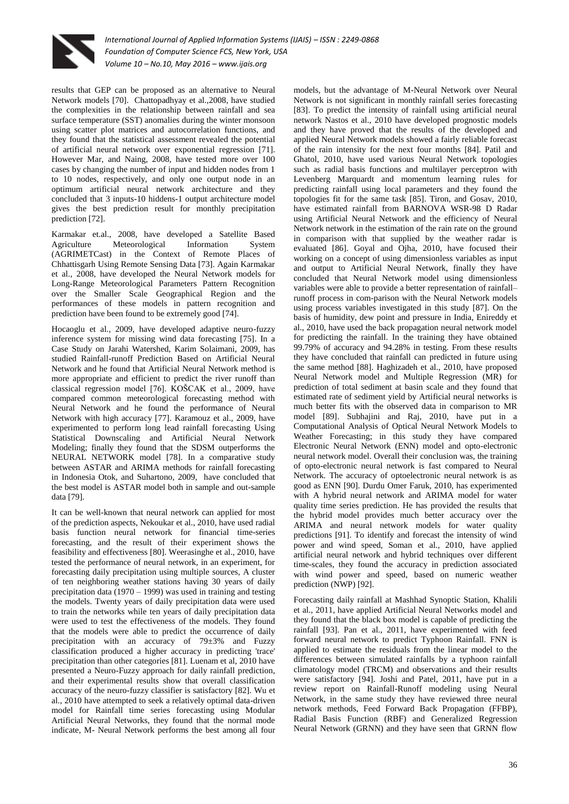

results that GEP can be proposed as an alternative to Neural Network models [70]. Chattopadhyay et al.,2008, have studied the complexities in the relationship between rainfall and sea surface temperature (SST) anomalies during the winter monsoon using scatter plot matrices and autocorrelation functions, and they found that the statistical assessment revealed the potential of artificial neural network over exponential regression [71]. However Mar, and Naing, 2008, have tested more over 100 cases by changing the number of input and hidden nodes from 1 to 10 nodes, respectively, and only one output node in an optimum artificial neural network architecture and they concluded that 3 inputs-10 hiddens-1 output architecture model gives the best prediction result for monthly precipitation prediction [72].

Karmakar et.al., 2008, have developed a Satellite Based Agriculture Meteorological Information System (AGRIMETCast) in the Context of Remote Places of Chhattisgarh Using Remote Sensing Data [73]. Again Karmakar et al., 2008, have developed the Neural Network models for Long-Range Meteorological Parameters Pattern Recognition over the Smaller Scale Geographical Region and the performances of these models in pattern recognition and prediction have been found to be extremely good [74].

Hocaoglu et al., 2009, have developed adaptive neuro-fuzzy inference system for missing wind data forecasting [75]. In a Case Study on Jarahi Watershed, Karim Solaimani, 2009, has studied Rainfall-runoff Prediction Based on Artificial Neural Network and he found that Artificial Neural Network method is more appropriate and efficient to predict the river runoff than classical regression model [76]. KOŠCAK et al., 2009, have compared common meteorological forecasting method with Neural Network and he found the performance of Neural Network with high accuracy [77]. Karamouz et al., 2009, have experimented to perform long lead rainfall forecasting Using Statistical Downscaling and Artificial Neural Network Modeling; finally they found that the SDSM outperforms the NEURAL NETWORK model [78]. In a comparative study between ASTAR and ARIMA methods for rainfall forecasting in Indonesia Otok, and Suhartono, 2009, have concluded that the best model is ASTAR model both in sample and out-sample data [79].

It can be well-known that neural network can applied for most of the prediction aspects, Nekoukar et al., 2010, have used radial basis function neural network for financial time-series forecasting, and the result of their experiment shows the feasibility and effectiveness [80]. Weerasinghe et al., 2010, have tested the performance of neural network, in an experiment, for forecasting daily precipitation using multiple sources, A cluster of ten neighboring weather stations having 30 years of daily precipitation data (1970 – 1999) was used in training and testing the models. Twenty years of daily precipitation data were used to train the networks while ten years of daily precipitation data were used to test the effectiveness of the models. They found that the models were able to predict the occurrence of daily precipitation with an accuracy of 79±3% and Fuzzy classification produced a higher accuracy in predicting 'trace' precipitation than other categories [81]. Luenam et al, 2010 have presented a Neuro-Fuzzy approach for daily rainfall prediction, and their experimental results show that overall classification accuracy of the neuro-fuzzy classifier is satisfactory [82]. Wu et al., 2010 have attempted to seek a relatively optimal data-driven model for Rainfall time series forecasting using Modular Artificial Neural Networks, they found that the normal mode indicate, M- Neural Network performs the best among all four

models, but the advantage of M-Neural Network over Neural Network is not significant in monthly rainfall series forecasting [83]. To predict the intensity of rainfall using artificial neural network Nastos et al., 2010 have developed prognostic models and they have proved that the results of the developed and applied Neural Network models showed a fairly reliable forecast of the rain intensity for the next four months [84]. Patil and Ghatol, 2010, have used various Neural Network topologies such as radial basis functions and multilayer perceptron with Levenberg Marquardt and momentum learning rules for predicting rainfall using local parameters and they found the topologies fit for the same task [85]. Tiron, and Gosav, 2010, have estimated rainfall from BARNOVA WSR-98 D Radar using Artificial Neural Network and the efficiency of Neural Network network in the estimation of the rain rate on the ground in comparison with that supplied by the weather radar is evaluated [86]. Goyal and Ojha, 2010, have focused their working on a concept of using dimensionless variables as input and output to Artificial Neural Network, finally they have concluded that Neural Network model using dimensionless variables were able to provide a better representation of rainfall– runoff process in com-parison with the Neural Network models using process variables investigated in this study [87]. On the basis of humidity, dew point and pressure in India, Enireddy et al., 2010, have used the back propagation neural network model for predicting the rainfall. In the training they have obtained 99.79% of accuracy and 94.28% in testing. From these results they have concluded that rainfall can predicted in future using the same method [88]. Haghizadeh et al., 2010, have proposed Neural Network model and Multiple Regression (MR) for prediction of total sediment at basin scale and they found that estimated rate of sediment yield by Artificial neural networks is much better fits with the observed data in comparison to MR model [89]. Subhajini and Raj, 2010, have put in a Computational Analysis of Optical Neural Network Models to Weather Forecasting; in this study they have compared Electronic Neural Network (ENN) model and opto-electronic neural network model. Overall their conclusion was, the training of opto-electronic neural network is fast compared to Neural Network. The accuracy of optoelectronic neural network is as good as ENN [90]. Durdu Omer Faruk, 2010, has experimented with A hybrid neural network and ARIMA model for water quality time series prediction. He has provided the results that the hybrid model provides much better accuracy over the ARIMA and neural network models for water quality predictions [91]. To identify and forecast the intensity of wind power and wind speed, Soman et al., 2010, have applied artificial neural network and hybrid techniques over different time-scales, they found the accuracy in prediction associated with wind power and speed, based on numeric weather prediction (NWP) [92].

Forecasting daily rainfall at Mashhad Synoptic Station, Khalili et al., 2011, have applied Artificial Neural Networks model and they found that the black box model is capable of predicting the rainfall [93]. Pan et al., 2011, have experimented with feed forward neural network to predict Typhoon Rainfall. FNN is applied to estimate the residuals from the linear model to the differences between simulated rainfalls by a typhoon rainfall climatology model (TRCM) and observations and their results were satisfactory [94]. Joshi and Patel, 2011, have put in a review report on Rainfall-Runoff modeling using Neural Network, in the same study they have reviewed three neural network methods, Feed Forward Back Propagation (FFBP), Radial Basis Function (RBF) and Generalized Regression Neural Network (GRNN) and they have seen that GRNN flow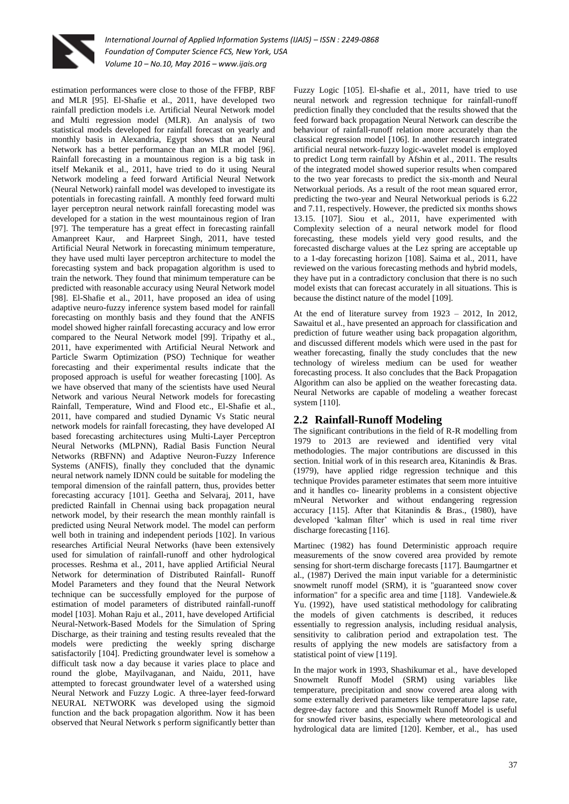

estimation performances were close to those of the FFBP, RBF and MLR [95]. El-Shafie et al., 2011, have developed two rainfall prediction models i.e. Artificial Neural Network model and Multi regression model (MLR). An analysis of two statistical models developed for rainfall forecast on yearly and monthly basis in Alexandria, Egypt shows that an Neural Network has a better performance than an MLR model [96]. Rainfall forecasting in a mountainous region is a big task in itself Mekanik et al., 2011, have tried to do it using Neural Network modeling a feed forward Artificial Neural Network (Neural Network) rainfall model was developed to investigate its potentials in forecasting rainfall. A monthly feed forward multi layer perceptron neural network rainfall forecasting model was developed for a station in the west mountainous region of Iran [97]. The temperature has a great effect in forecasting rainfall Amanpreet Kaur, and Harpreet Singh, 2011, have tested Artificial Neural Network in forecasting minimum temperature, they have used multi layer perceptron architecture to model the forecasting system and back propagation algorithm is used to train the network. They found that minimum temperature can be predicted with reasonable accuracy using Neural Network model [98]. El-Shafie et al., 2011, have proposed an idea of using adaptive neuro-fuzzy inference system based model for rainfall forecasting on monthly basis and they found that the ANFIS model showed higher rainfall forecasting accuracy and low error compared to the Neural Network model [99]. Tripathy et al., 2011, have experimented with Artificial Neural Network and Particle Swarm Optimization (PSO) Technique for weather forecasting and their experimental results indicate that the proposed approach is useful for weather forecasting [100]. As we have observed that many of the scientists have used Neural Network and various Neural Network models for forecasting Rainfall, Temperature, Wind and Flood etc., El-Shafie et al., 2011, have compared and studied Dynamic Vs Static neural network models for rainfall forecasting, they have developed AI based forecasting architectures using Multi-Layer Perceptron Neural Networks (MLPNN), Radial Basis Function Neural Networks (RBFNN) and Adaptive Neuron-Fuzzy Inference Systems (ANFIS), finally they concluded that the dynamic neural network namely IDNN could be suitable for modeling the temporal dimension of the rainfall pattern, thus, provides better forecasting accuracy [101]. Geetha and Selvaraj, 2011, have predicted Rainfall in Chennai using back propagation neural network model, by their research the mean monthly rainfall is predicted using Neural Network model. The model can perform well both in training and independent periods [102]. In various researches Artificial Neural Networks (have been extensively used for simulation of rainfall-runoff and other hydrological processes. Reshma et al., 2011, have applied Artificial Neural Network for determination of Distributed Rainfall- Runoff Model Parameters and they found that the Neural Network technique can be successfully employed for the purpose of estimation of model parameters of distributed rainfall-runoff model [103]. Mohan Raju et al., 2011, have developed Artificial Neural-Network-Based Models for the Simulation of Spring Discharge, as their training and testing results revealed that the models were predicting the weekly spring discharge satisfactorily [104]. Predicting groundwater level is somehow a difficult task now a day because it varies place to place and round the globe, Mayilvaganan, and Naidu, 2011, have attempted to forecast groundwater level of a watershed using Neural Network and Fuzzy Logic. A three-layer feed-forward NEURAL NETWORK was developed using the sigmoid function and the back propagation algorithm. Now it has been observed that Neural Network s perform significantly better than

Fuzzy Logic [105]. El-shafie et al., 2011, have tried to use neural network and regression technique for rainfall-runoff prediction finally they concluded that the results showed that the feed forward back propagation Neural Network can describe the behaviour of rainfall-runoff relation more accurately than the classical regression model [106]. In another research integrated artificial neural network-fuzzy logic-wavelet model is employed to predict Long term rainfall by Afshin et al., 2011. The results of the integrated model showed superior results when compared to the two year forecasts to predict the six-month and Neural Networkual periods. As a result of the root mean squared error, predicting the two-year and Neural Networkual periods is 6.22 and 7.11, respectively. However, the predicted six months shows 13.15. [107]. Siou et al., 2011, have experimented with Complexity selection of a neural network model for flood forecasting, these models yield very good results, and the forecasted discharge values at the Lez spring are acceptable up to a 1-day forecasting horizon [108]. Saima et al., 2011, have reviewed on the various forecasting methods and hybrid models, they have put in a contradictory conclusion that there is no such model exists that can forecast accurately in all situations. This is because the distinct nature of the model [109].

At the end of literature survey from 1923 – 2012, In 2012, Sawaitul et al., have presented an approach for classification and prediction of future weather using back propagation algorithm, and discussed different models which were used in the past for weather forecasting, finally the study concludes that the new technology of wireless medium can be used for weather forecasting process. It also concludes that the Back Propagation Algorithm can also be applied on the weather forecasting data. Neural Networks are capable of modeling a weather forecast system [110].

## **2.2 Rainfall-Runoff Modeling**

The significant contributions in the field of R-R modelling from 1979 to 2013 are reviewed and identified very vital methodologies. The major contributions are discussed in this section. Initial work of in this research area, Kitanindis & Bras. (1979), have applied ridge regression technique and this technique Provides parameter estimates that seem more intuitive and it handles co- linearity problems in a consistent objective mNeural Networker and without endangering regression accuracy [115]. After that Kitanindis & Bras., (1980), have developed 'kalman filter' which is used in real time river discharge forecasting [116].

Martinec (1982) has found Deterministic approach require measurements of the snow covered area provided by remote sensing for short-term discharge forecasts [117]. Baumgartner et al., (1987) Derived the main input variable for a deterministic snowmelt runoff model (SRM), it is "guaranteed snow cover information" for a specific area and time [118]. Vandewiele.& Yu. (1992), have used statistical methodology for calibrating the models of given catchments is described, it reduces essentially to regression analysis, including residual analysis, sensitivity to calibration period and extrapolation test. The results of applying the new models are satisfactory from a statistical point of view [119].

In the major work in 1993, Shashikumar et al., have developed Snowmelt Runoff Model (SRM) using variables like temperature, precipitation and snow covered area along with some externally derived parameters like temperature lapse rate, degree-day factore and this Snowmelt Runoff Model is useful for snowfed river basins, especially where meteorological and hydrological data are limited [120]. Kember, et al., has used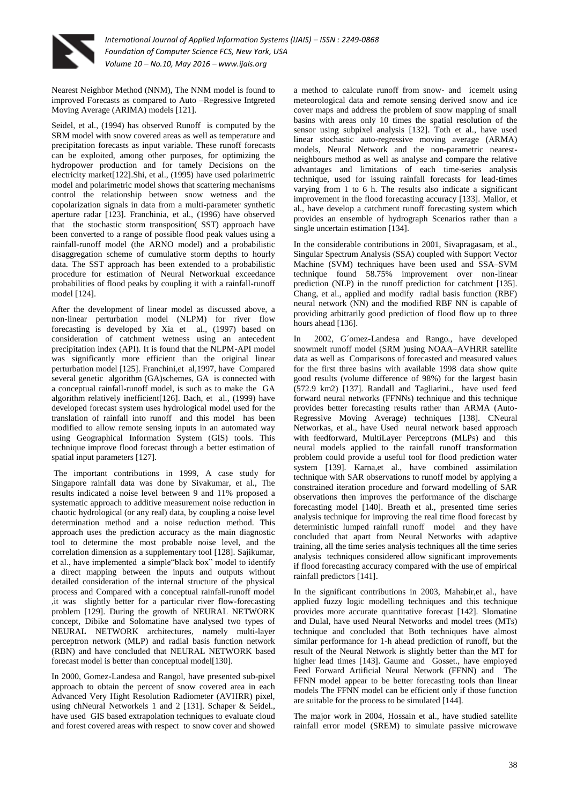

Nearest Neighbor Method (NNM), The NNM model is found to improved Forecasts as compared to Auto –Regressive Intgreted Moving Average (ARIMA) models [121].

Seidel, et al., (1994) has observed Runoff is computed by the SRM model with snow covered areas as well as temperature and precipitation forecasts as input variable. These runoff forecasts can be exploited, among other purposes, for optimizing the hydropower production and for tamely Decisions on the electricity market[122].Shi, et al., (1995) have used polarimetric model and polarimetric model shows that scattering mechanisms control the relationship between snow wetness and the copolarization signals in data from a multi-parameter synthetic aperture radar [123]. Franchinia, et al., (1996) have observed that the stochastic storm transposition( SST) approach have been converted to a range of possible flood peak values using a rainfall-runoff model (the ARNO model) and a probabilistic disaggregation scheme of cumulative storm depths to hourly data. The SST approach has been extended to a probabilistic procedure for estimation of Neural Networkual exceedance probabilities of flood peaks by coupling it with a rainfall-runoff model [124].

After the development of linear model as discussed above, a non-linear perturbation model (NLPM) for river flow forecasting is developed by Xia et al., (1997) based on consideration of catchment wetness using an antecedent precipitation index (API). It is found that the NLPM-API model was significantly more efficient than the original linear perturbation model [125]. Franchini,et al,1997, have Compared several genetic algorithm (GA)schemes, GA is connected with a conceptual rainfall-runoff model, is such as to make the GA algorithm relatively inefficient[126]. Bach, et al., (1999) have developed forecast system uses hydrological model used for the translation of rainfall into runoff and this model has been modified to allow remote sensing inputs in an automated way using Geographical Information System (GIS) tools. This technique improve flood forecast through a better estimation of spatial input parameters [127].

The important contributions in 1999, A case study for Singapore rainfall data was done by Sivakumar, et al., The results indicated a noise level between 9 and 11% proposed a systematic approach to additive measurement noise reduction in chaotic hydrological (or any real) data, by coupling a noise level determination method and a noise reduction method. This approach uses the prediction accuracy as the main diagnostic tool to determine the most probable noise level, and the correlation dimension as a supplementary tool [128]. Sajikumar, et al., have implemented a simple"black box" model to identify a direct mapping between the inputs and outputs without detailed consideration of the internal structure of the physical process and Compared with a conceptual rainfall-runoff model ,it was slightly better for a particular river flow-forecasting problem [129]. During the growth of NEURAL NETWORK concept, Dibike and Solomatine have analysed two types of NEURAL NETWORK architectures, namely multi-layer perceptron network (MLP) and radial basis function network (RBN) and have concluded that NEURAL NETWORK based forecast model is better than conceptual model[130].

In 2000, Gomez-Landesa and Rangol, have presented sub-pixel approach to obtain the percent of snow covered area in each Advanced Very Hight Resolution Radiometer (AVHRR) pixel, using chNeural Networkels 1 and 2 [131]. Schaper & Seidel., have used GIS based extrapolation techniques to evaluate cloud and forest covered areas with respect to snow cover and showed a method to calculate runoff from snow- and icemelt using meteorological data and remote sensing derived snow and ice cover maps and address the problem of snow mapping of small basins with areas only 10 times the spatial resolution of the sensor using subpixel analysis [132]. Toth et al., have used linear stochastic auto-regressive moving average (ARMA) models, Neural Network and the non-parametric nearestneighbours method as well as analyse and compare the relative advantages and limitations of each time-series analysis technique, used for issuing rainfall forecasts for lead-times varying from 1 to 6 h. The results also indicate a significant improvement in the flood forecasting accuracy [133]. Mallor, et al., have develop a catchment runoff forecasting system which provides an ensemble of hydrograph Scenarios rather than a single uncertain estimation [134].

In the considerable contributions in 2001, Sivapragasam, et al., Singular Spectrum Analysis (SSA) coupled with Support Vector Machine (SVM) techniques have been used and SSA–SVM technique found 58.75% improvement over non-linear prediction (NLP) in the runoff prediction for catchment [135]. Chang, et al., applied and modify radial basis function (RBF) neural network (NN) and the modified RBF NN is capable of providing arbitrarily good prediction of flood flow up to three hours ahead [136].

In 2002, G´omez-Landesa and Rango., have developed snowmelt runoff model (SRM )using NOAA–AVHRR satellite data as well as Comparisons of forecasted and measured values for the first three basins with available 1998 data show quite good results (volume difference of 98%) for the largest basin (572.9 km2) [137]. Randall and Tagliarini., have used feed forward neural networks (FFNNs) technique and this technique provides better forecasting results rather than ARMA (Auto-Regressive Moving Average) techniques [138]. CNeural Networkas, et al., have Used neural network based approach with feedforward, MultiLayer Perceptrons (MLPs) and this neural models applied to the rainfall runoff transformation problem could provide a useful tool for flood prediction water system [139]. Karna,et al., have combined assimilation technique with SAR observations to runoff model by applying a constrained iteration procedure and forward modelling of SAR observations then improves the performance of the discharge forecasting model [140]. Breath et al., presented time series analysis technique for improving the real time flood forecast by deterministic lumped rainfall runoff model and they have concluded that apart from Neural Networks with adaptive training, all the time series analysis techniques all the time series analysis techniques considered allow significant improvements if flood forecasting accuracy compared with the use of empirical rainfall predictors [141].

In the significant contributions in 2003, Mahabir,et al., have applied fuzzy logic modelling techniques and this technique provides more accurate quantitative forecast [142]. Slomatine and Dulal, have used Neural Networks and model trees (MTs) technique and concluded that Both techniques have almost similar performance for 1-h ahead prediction of runoff, but the result of the Neural Network is slightly better than the MT for higher lead times [143]. Gaume and Gosset., have employed Feed Forward Artificial Neural Network (FFNN) and The FFNN model appear to be better forecasting tools than linear models The FFNN model can be efficient only if those function are suitable for the process to be simulated [144].

The major work in 2004, Hossain et al., have studied satellite rainfall error model (SREM) to simulate passive microwave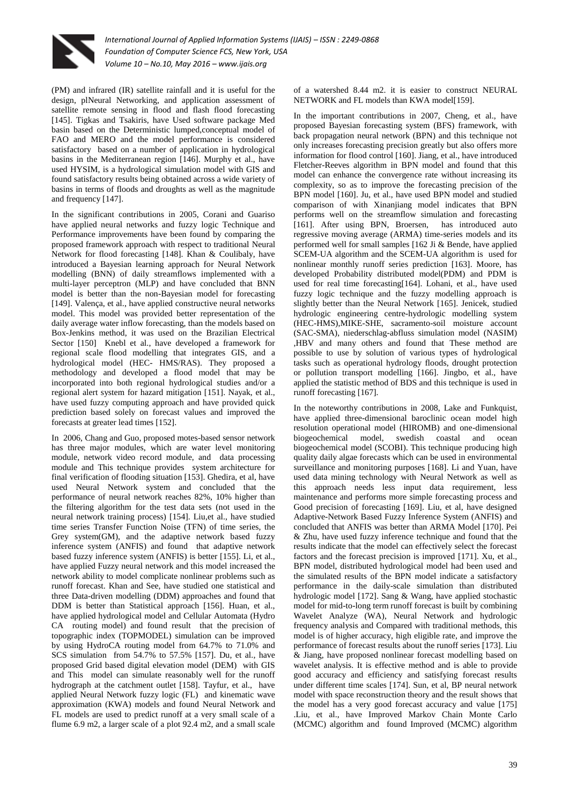

(PM) and infrared (IR) satellite rainfall and it is useful for the design, plNeural Networking, and application assessment of satellite remote sensing in flood and flash flood forecasting [145]. Tigkas and Tsakiris, have Used software package Med basin based on the Deterministic lumped,conceptual model of FAO and MERO and the model performance is considered satisfactory based on a number of application in hydrological basins in the Mediterranean region [146]. Murphy et al., have used HYSIM, is a hydrological simulation model with GIS and found satisfactory results being obtained across a wide variety of basins in terms of floods and droughts as well as the magnitude and frequency [147].

In the significant contributions in 2005, Corani and Guariso have applied neural networks and fuzzy logic Technique and Performance improvements have been found by comparing the proposed framework approach with respect to traditional Neural Network for flood forecasting [148]. Khan & Coulibaly, have introduced a Bayesian learning approach for Neural Network modelling (BNN) of daily streamflows implemented with a multi-layer perceptron (MLP) and have concluded that BNN model is better than the non-Bayesian model for forecasting [149]. Valença, et al., have applied constructive neural networks model. This model was provided better representation of the daily average water inflow forecasting, than the models based on Box-Jenkins method, it was used on the Brazilian Electrical Sector [150] Knebl et al., have developed a framework for regional scale flood modelling that integrates GIS, and a hydrological model (HEC- HMS/RAS). They proposed a methodology and developed a flood model that may be incorporated into both regional hydrological studies and/or a regional alert system for hazard mitigation [151]. Nayak, et al., have used fuzzy computing approach and have provided quick prediction based solely on forecast values and improved the forecasts at greater lead times [152].

In 2006, Chang and Guo, proposed motes-based sensor network has three major modules, which are water level monitoring module, network video record module, and data processing module and This technique provides system architecture for final verification of flooding situation [153]. Ghedira, et al, have used Neural Network system and concluded that the performance of neural network reaches 82%, 10% higher than the filtering algorithm for the test data sets (not used in the neural network training process) [154]. Liu,et al., have studied time series Transfer Function Noise (TFN) of time series, the Grey system(GM), and the adaptive network based fuzzy inference system (ANFIS) and found that adaptive network based fuzzy inference system (ANFIS) is better [155]. Li, et al., have applied Fuzzy neural network and this model increased the network ability to model complicate nonlinear problems such as runoff forecast. Khan and See, have studied one statistical and three Data-driven modelling (DDM) approaches and found that DDM is better than Statistical approach [156]. Huan, et al., have applied hydrological model and Cellular Automata (Hydro CA routing model) and found result that the precision of topographic index (TOPMODEL) simulation can be improved by using HydroCA routing model from 64.7% to 71.0% and SCS simulation from 54.7% to 57.5% [157]. Du, et al., have proposed Grid based digital elevation model (DEM) with GIS and This model can simulate reasonably well for the runoff hydrograph at the catchment outlet [158]. Tayfur, et al., have applied Neural Network fuzzy logic (FL) and kinematic wave approximation (KWA) models and found Neural Network and FL models are used to predict runoff at a very small scale of a flume 6.9 m2, a larger scale of a plot 92.4 m2, and a small scale

of a watershed 8.44 m2. it is easier to construct NEURAL NETWORK and FL models than KWA model[159].

In the important contributions in 2007, Cheng, et al., have proposed Bayesian forecasting system (BFS) framework, with back propagation neural network (BPN) and this technique not only increases forecasting precision greatly but also offers more information for flood control [160]. Jiang, et al., have introduced Fletcher-Reeves algorithm in BPN model and found that this model can enhance the convergence rate without increasing its complexity, so as to improve the forecasting precision of the BPN model [160]. Ju, et al., have used BPN model and studied comparison of with Xinanjiang model indicates that BPN performs well on the streamflow simulation and forecasting [161]. After using BPN, Broersen, has introduced auto regressive moving average (ARMA) time-series models and its performed well for small samples [162 Ji & Bende, have applied SCEM-UA algorithm and the SCEM-UA algorithm is used for nonlinear monthly runoff series prediction [163]. Moore, has developed Probability distributed model(PDM) and PDM is used for real time forecasting[164]. Lohani, et al., have used fuzzy logic technique and the fuzzy modelling approach is slightly better than the Neural Network [165]. Jenicek, studied hydrologic engineering centre-hydrologic modelling system (HEC-HMS),MIKE-SHE, sacramento-soil moisture account (SAC-SMA), niederschlag-abfluss simulation model (NASIM) ,HBV and many others and found that These method are possible to use by solution of various types of hydrological tasks such as operational hydrology floods, drought protection or pollution transport modelling [166]. Jingbo, et al., have applied the statistic method of BDS and this technique is used in runoff forecasting [167].

In the noteworthy contributions in 2008, Lake and Funkquist, have applied three-dimensional baroclinic ocean model high resolution operational model (HIROMB) and one-dimensional biogeochemical model, swedish coastal and ocean biogeochemical model (SCOBI). This technique producing high quality daily algae forecasts which can be used in environmental surveillance and monitoring purposes [168]. Li and Yuan, have used data mining technology with Neural Network as well as this approach needs less input data requirement, less maintenance and performs more simple forecasting process and Good precision of forecasting [169]. Liu, et al, have designed Adaptive-Network Based Fuzzy Inference System (ANFIS) and concluded that ANFIS was better than ARMA Model [170]. Pei & Zhu, have used fuzzy inference technique and found that the results indicate that the model can effectively select the forecast factors and the forecast precision is improved [171]. Xu, et al., BPN model, distributed hydrological model had been used and the simulated results of the BPN model indicate a satisfactory performance in the daily-scale simulation than distributed hydrologic model [172]. Sang & Wang, have applied stochastic model for mid-to-long term runoff forecast is built by combining Wavelet Analyze (WA), Neural Network and hydrologic frequency analysis and Compared with traditional methods, this model is of higher accuracy, high eligible rate, and improve the performance of forecast results about the runoff series [173]. Liu & Jiang, have proposed nonlinear forecast modelling based on wavelet analysis. It is effective method and is able to provide good accuracy and efficiency and satisfying forecast results under different time scales [174]. Sun, et al, BP neural network model with space reconstruction theory and the result shows that the model has a very good forecast accuracy and value [175] .Liu, et al., have Improved Markov Chain Monte Carlo (MCMC) algorithm and found Improved (MCMC) algorithm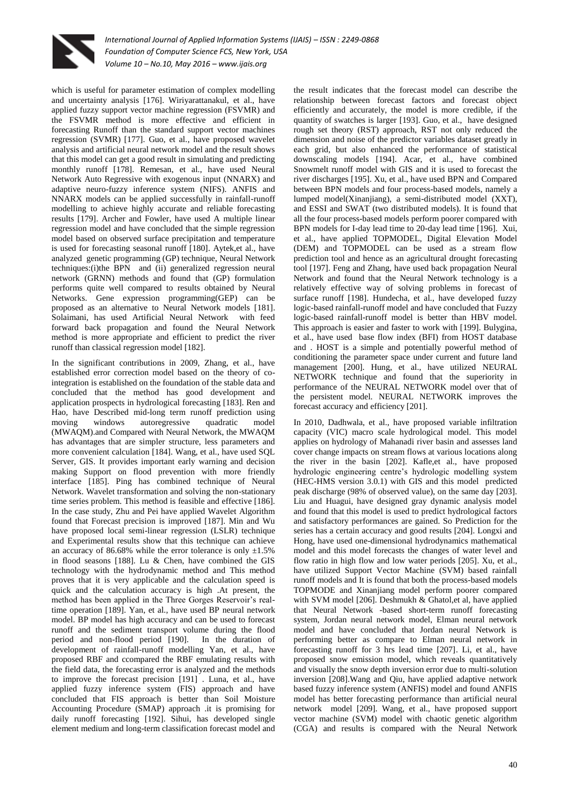

which is useful for parameter estimation of complex modelling and uncertainty analysis [176]. Wiriyarattanakul, et al., have applied fuzzy support vector machine regression (FSVMR) and the FSVMR method is more effective and efficient in forecasting Runoff than the standard support vector machines regression (SVMR) [177]. Guo, et al., have proposed wavelet analysis and artificial neural network model and the result shows that this model can get a good result in simulating and predicting monthly runoff [178]. Remesan, et al., have used Neural Network Auto Regressive with exogenous input (NNARX) and adaptive neuro-fuzzy inference system (NIFS). ANFIS and NNARX models can be applied successfully in rainfall-runoff modelling to achieve highly accurate and reliable forecasting results [179]. Archer and Fowler, have used A multiple linear regression model and have concluded that the simple regression model based on observed surface precipitation and temperature is used for forecasting seasonal runoff [180]. Aytek,et al., have analyzed genetic programming (GP) technique, Neural Network techniques:(i)the BPN and (ii) generalized regression neural network (GRNN) methods and found that (GP) formulation performs quite well compared to results obtained by Neural Networks. Gene expression programming(GEP) can be proposed as an alternative to Neural Network models [181]. Solaimani, has used Artificial Neural Network with feed forward back propagation and found the Neural Network method is more appropriate and efficient to predict the river runoff than classical regression model [182].

In the significant contributions in 2009, Zhang, et al., have established error correction model based on the theory of cointegration is established on the foundation of the stable data and concluded that the method has good development and application prospects in hydrological forecasting [183]. Ren and Hao, have Described mid-long term runoff prediction using moving windows autoregressive quadratic model (MWAQM).and Compared with Neural Network, the MWAQM has advantages that are simpler structure, less parameters and more convenient calculation [184]. Wang, et al., have used SQL Server, GIS. It provides important early warning and decision making Support on flood prevention with more friendly interface [185]. Ping has combined technique of Neural Network. Wavelet transformation and solving the non-stationary time series problem. This method is feasible and effective [186]. In the case study, Zhu and Pei have applied Wavelet Algorithm found that Forecast precision is improved [187]. Min and Wu have proposed local semi-linear regression (LSLR) technique and Experimental results show that this technique can achieve an accuracy of 86.68% while the error tolerance is only  $\pm 1.5$ % in flood seasons [188]. Lu & Chen, have combined the GIS technology with the hydrodynamic method and This method proves that it is very applicable and the calculation speed is quick and the calculation accuracy is high .At present, the method has been applied in the Three Gorges Reservoir's realtime operation [189]. Yan, et al., have used BP neural network model. BP model has high accuracy and can be used to forecast runoff and the sediment transport volume during the flood period and non-flood period [190]. In the duration of development of rainfall-runoff modelling Yan, et al., have proposed RBF and ccompared the RBF emulating results with the field data, the forecasting error is analyzed and the methods to improve the forecast precision [191] . Luna, et al., have applied fuzzy inference system (FIS) approach and have concluded that FIS approach is better than Soil Moisture Accounting Procedure (SMAP) approach .it is promising for daily runoff forecasting [192]. Sihui, has developed single element medium and long-term classification forecast model and

the result indicates that the forecast model can describe the relationship between forecast factors and forecast object efficiently and accurately, the model is more credible, if the quantity of swatches is larger [193]. Guo, et al., have designed rough set theory (RST) approach, RST not only reduced the dimension and noise of the predictor variables dataset greatly in each grid, but also enhanced the performance of statistical downscaling models [194]. Acar, et al., have combined Snowmelt runoff model with GIS and it is used to forecast the river discharges [195]. Xu, et al., have used BPN and Compared between BPN models and four process-based models, namely a lumped model(Xinanjiang), a semi-distributed model (XXT), and ESSI and SWAT (two distributed models). It is found that all the four process-based models perform poorer compared with BPN models for I-day lead time to 20-day lead time [196]. Xui, et al., have applied TOPMODEL, Digital Elevation Model (DEM) and TOPMODEL can be used as a stream flow prediction tool and hence as an agricultural drought forecasting tool [197]. Feng and Zhang, have used back propagation Neural Network and found that the Neural Network technology is a relatively effective way of solving problems in forecast of surface runoff [198]. Hundecha, et al., have developed fuzzy logic-based rainfall-runoff model and have concluded that Fuzzy logic-based rainfall-runoff model is better than HBV model. This approach is easier and faster to work with [199]. Bulygina, et al., have used base flow index (BFI) from HOST database and . HOST is a simple and potentially powerful method of conditioning the parameter space under current and future land management [200]. Hung, et al., have utilized NEURAL NETWORK technique and found that the superiority in performance of the NEURAL NETWORK model over that of the persistent model. NEURAL NETWORK improves the forecast accuracy and efficiency [201].

In 2010, Dadhwala, et al., have proposed variable infiltration capacity (VIC) macro scale hydrological model. This model applies on hydrology of Mahanadi river basin and assesses land cover change impacts on stream flows at various locations along the river in the basin [202]. Kafle,et al., have proposed hydrologic engineering centre's hydrologic modelling system (HEC-HMS version 3.0.1) with GIS and this model predicted peak discharge (98% of observed value), on the same day [203]. Liu and Huagui, have designed gray dynamic analysis model and found that this model is used to predict hydrological factors and satisfactory performances are gained. So Prediction for the series has a certain accuracy and good results [204]. Longxi and Hong, have used one-dimensional hydrodynamics mathematical model and this model forecasts the changes of water level and flow ratio in high flow and low water periods [205]. Xu, et al., have utilized Support Vector Machine (SVM) based rainfall runoff models and It is found that both the process-based models TOPMODE and Xinanjiang model perform poorer compared with SVM model [206]. Deshmukh & Ghatol,et al, have applied that Neural Network -based short-term runoff forecasting system, Jordan neural network model, Elman neural network model and have concluded that Jordan neural Network is performing better as compare to Elman neural network in forecasting runoff for 3 hrs lead time [207]. Li, et al., have proposed snow emission model, which reveals quantitatively and visually the snow depth inversion error due to multi-solution inversion [208].Wang and Qiu, have applied adaptive network based fuzzy inference system (ANFIS) model and found ANFIS model has better forecasting performance than artificial neural network model [209]. Wang, et al., have proposed support vector machine (SVM) model with chaotic genetic algorithm (CGA) and results is compared with the Neural Network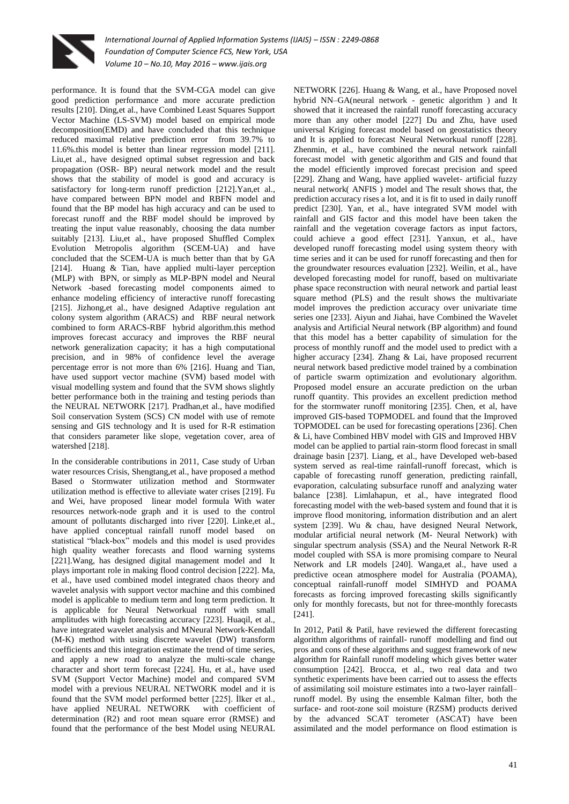

performance. It is found that the SVM-CGA model can give good prediction performance and more accurate prediction results [210]. Ding,et al., have Combined Least Squares Support Vector Machine (LS-SVM) model based on empirical mode decomposition(EMD) and have concluded that this technique reduced maximal relative prediction error from 39.7% to 11.6%.this model is better than linear regression model [211]. Liu,et al., have designed optimal subset regression and back propagation (OSR- BP) neural network model and the result shows that the stability of model is good and accuracy is satisfactory for long-term runoff prediction [212].Yan,et al., have compared between BPN model and RBFN model and found that the BP model has high accuracy and can be used to forecast runoff and the RBF model should be improved by treating the input value reasonably, choosing the data number suitably [213]. Liu,et al., have proposed Shuffled Complex Evolution Metropolis algorithm (SCEM-UA) and have concluded that the SCEM-UA is much better than that by GA [214]. Huang & Tian, have applied multi-layer perception (MLP) with BPN, or simply as MLP-BPN model and Neural Network -based forecasting model components aimed to enhance modeling efficiency of interactive runoff forecasting [215]. Jizhong,et al., have designed Adaptive regulation ant colony system algorithm (ARACS) and RBF neural network combined to form ARACS-RBF hybrid algorithm.this method improves forecast accuracy and improves the RBF neural network generalization capacity; it has a high computational precision, and in 98% of confidence level the average percentage error is not more than 6% [216]. Huang and Tian, have used support vector machine (SVM) based model with visual modelling system and found that the SVM shows slightly better performance both in the training and testing periods than the NEURAL NETWORK [217]. Pradhan,et al., have modified Soil conservation System (SCS) CN model with use of remote sensing and GIS technology and It is used for R-R estimation that considers parameter like slope, vegetation cover, area of watershed [218].

In the considerable contributions in 2011, Case study of Urban water resources Crisis, Shengtang,et al., have proposed a method Based o Stormwater utilization method and Stormwater utilization method is effective to alleviate water crises [219]. Fu and Wei, have proposed linear model formula With water resources network-node graph and it is used to the control amount of pollutants discharged into river [220]. Linke,et al., have applied conceptual rainfall runoff model based on statistical "black-box" models and this model is used provides high quality weather forecasts and flood warning systems [221].Wang, has designed digital management model and It plays important role in making flood control decision [222]. Ma, et al., have used combined model integrated chaos theory and wavelet analysis with support vector machine and this combined model is applicable to medium term and long term prediction. It is applicable for Neural Networkual runoff with small amplitudes with high forecasting accuracy [223]. Huaqil, et al., have integrated wavelet analysis and MNeural Network-Kendall (M-K) method with using discrete wavelet (DW) transform coefficients and this integration estimate the trend of time series, and apply a new road to analyze the multi-scale change character and short term forecast [224]. Hu, et al., have used SVM (Support Vector Machine) model and compared SVM model with a previous NEURAL NETWORK model and it is found that the SVM model performed better [225]. İlker et al., have applied NEURAL NETWORK with coefficient of determination (R2) and root mean square error (RMSE) and found that the performance of the best Model using NEURAL

NETWORK [226]. Huang & Wang, et al., have Proposed novel hybrid NN–GA(neural network - genetic algorithm ) and It showed that it increased the rainfall runoff forecasting accuracy more than any other model [227] Du and Zhu, have used universal Kriging forecast model based on geostatistics theory and It is applied to forecast Neural Networkual runoff [228]. Zhenmin, et al., have combined the neural network rainfall forecast model with genetic algorithm and GIS and found that the model efficiently improved forecast precision and speed [229]. Zhang and Wang, have applied wavelet- artificial fuzzy neural network( ANFIS ) model and The result shows that, the prediction accuracy rises a lot, and it is fit to used in daily runoff predict [230]. Yan, et al., have integrated SVM model with rainfall and GIS factor and this model have been taken the rainfall and the vegetation coverage factors as input factors, could achieve a good effect [231]. Yanxun, et al., have developed runoff forecasting model using system theory with time series and it can be used for runoff forecasting and then for the groundwater resources evaluation [232]. Weilin, et al., have developed forecasting model for runoff, based on multivariate phase space reconstruction with neural network and partial least square method (PLS) and the result shows the multivariate model improves the prediction accuracy over univariate time series one [233]. Aiyun and Jiahai, have Combined the Wavelet analysis and Artificial Neural network (BP algorithm) and found that this model has a better capability of simulation for the process of monthly runoff and the model used to predict with a higher accuracy [234]. Zhang & Lai, have proposed recurrent neural network based predictive model trained by a combination of particle swarm optimization and evolutionary algorithm. Proposed model ensure an accurate prediction on the urban runoff quantity. This provides an excellent prediction method for the stormwater runoff monitoring [235]. Chen, et al, have improved GIS-based TOPMODEL and found that the Improved TOPMODEL can be used for forecasting operations [236]. Chen & Li, have Combined HBV model with GIS and Improved HBV model can be applied to partial rain-storm flood forecast in small drainage basin [237]. Liang, et al., have Developed web-based system served as real-time rainfall-runoff forecast, which is capable of forecasting runoff generation, predicting rainfall, evaporation, calculating subsurface runoff and analyzing water balance [238]. Limlahapun, et al., have integrated flood forecasting model with the web-based system and found that it is improve flood monitoring, information distribution and an alert system [239]. Wu & chau, have designed Neural Network, modular artificial neural network (M- Neural Network) with singular spectrum analysis (SSA) and the Neural Network R-R model coupled with SSA is more promising compare to Neural Network and LR models [240]. Wanga,et al., have used a predictive ocean atmosphere model for Australia (POAMA), conceptual rainfall-runoff model SIMHYD and POAMA forecasts as forcing improved forecasting skills significantly only for monthly forecasts, but not for three-monthly forecasts [241].

In 2012, Patil & Patil, have reviewed the different forecasting algorithm algorithms of rainfall- runoff modelling and find out pros and cons of these algorithms and suggest framework of new algorithm for Rainfall runoff modeling which gives better water consumption [242]. Brocca, et al., two real data and two synthetic experiments have been carried out to assess the effects of assimilating soil moisture estimates into a two-layer rainfall– runoff model. By using the ensemble Kalman filter, both the surface- and root-zone soil moisture (RZSM) products derived by the advanced SCAT terometer (ASCAT) have been assimilated and the model performance on flood estimation is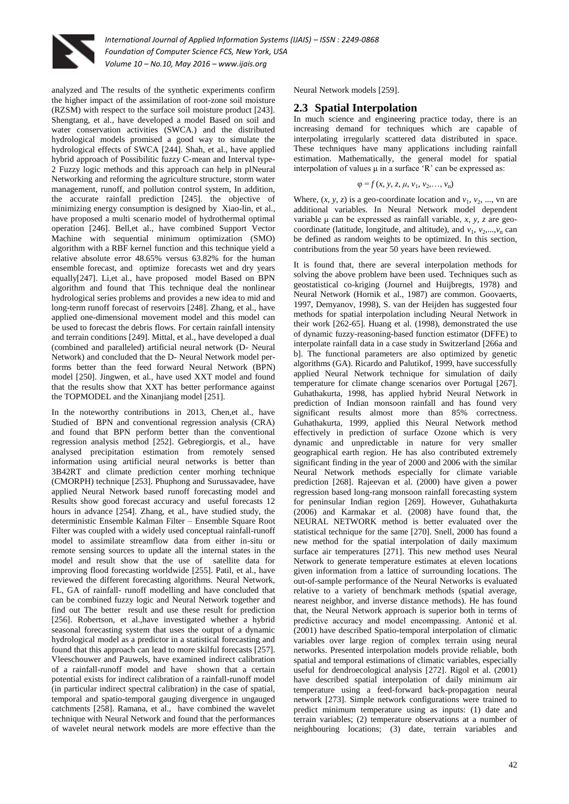

analyzed and The results of the synthetic experiments confirm the higher impact of the assimilation of root-zone soil moisture (RZSM) with respect to the surface soil moisture product [243]. Shengtang, et al., have developed a model Based on soil and water conservation activities (SWCA.) and the distributed hydrological models promised a good way to simulate the hydrological effects of SWCA [244]. Shah, et al., have applied hybrid approach of Possibilitic fuzzy C-mean and Interval type-2 Fuzzy logic methods and this approach can help in plNeural Networking and reforming the agriculture structure, storm water management, runoff, and pollution control system, In addition, the accurate rainfall prediction [245]. the objective of minimizing energy consumption is designed by Xiao-lin, et al., have proposed a multi scenario model of hydrothermal optimal operation [246]. Bell,et al., have combined Support Vector Machine with sequential minimum optimization (SMO) algorithm with a RBF kernel function and this technique yield a relative absolute error 48.65% versus 63.82% for the human ensemble forecast, and optimize forecasts wet and dry years equally[247]. Li,et al., have proposed model Based on BPN algorithm and found that This technique deal the nonlinear hydrological series problems and provides a new idea to mid and long-term runoff forecast of reservoirs [248]. Zhang, et al., have applied one-dimensional movement model and this model can be used to forecast the debris flows. For certain rainfall intensity and terrain conditions [249]. Mittal, et al., have developed a dual (combined and paralleled) artificial neural network (D- Neural Network) and concluded that the D- Neural Network model performs better than the feed forward Neural Network (BPN) model [250]. Jingwen, et al., have used XXT model and found that the results show that XXT has better performance against the TOPMODEL and the Xinanjiang model [251].

In the noteworthy contributions in 2013, Chen,et al., have Studied of BPN and conventional regression analysis (CRA) and found that BPN perform better than the conventional regression analysis method [252]. Gebregiorgis, et al., have analysed precipitation estimation from remotely sensed information using artificial neural networks is better than 3B42RT and climate prediction center morhing technique (CMORPH) technique [253]. Phuphong and Surussavadee, have applied Neural Network based runoff forecasting model and Results show good forecast accuracy and useful forecasts 12 hours in advance [254]. Zhang, et al., have studied study, the deterministic Ensemble Kalman Filter – Ensemble Square Root Filter was coupled with a widely used conceptual rainfall-runoff model to assimilate streamflow data from either in-situ or remote sensing sources to update all the internal states in the model and result show that the use of satellite data for improving flood forecasting worldwide [255]. Patil, et al., have reviewed the different forecasting algorithms. Neural Network, FL, GA of rainfall- runoff modelling and have concluded that can be combined fuzzy logic and Neural Network together and find out The better result and use these result for prediction [256]. Robertson, et al.,have investigated whether a hybrid seasonal forecasting system that uses the output of a dynamic hydrological model as a predictor in a statistical forecasting and found that this approach can lead to more skilful forecasts [257]. Vleeschouwer and Pauwels, have examined indirect calibration of a rainfall-runoff model and have shown that a certain potential exists for indirect calibration of a rainfall-runoff model (in particular indirect spectral calibration) in the case of spatial, temporal and spatio-temporal gauging divergence in ungauged catchments [258]. Ramana, et al., have combined the wavelet technique with Neural Network and found that the performances of wavelet neural network models are more effective than the Neural Network models [259].

## **2.3 Spatial Interpolation**

In much science and engineering practice today, there is an increasing demand for techniques which are capable of interpolating irregularly scattered data distributed in space. These techniques have many applications including rainfall estimation. Mathematically, the general model for spatial interpolation of values μ in a surface 'R' can be expressed as:

$$
\varphi = f(x, y, z, \mu, v_1, v_2, \ldots, v_n)
$$

Where,  $(x, y, z)$  is a geo-coordinate location and  $v_1, v_2, ..., v_n$  are additional variables. In Neural Network model dependent variable μ can be expressed as rainfall variable, *x, y, z* are geocoordinate (latitude, longitude, and altitude), and  $v_1$ ,  $v_2$ ,..., $v_n$  can be defined as random weights to be optimized. In this section, contributions from the year 50 years have been reviewed.

It is found that, there are several interpolation methods for solving the above problem have been used. Techniques such as geostatistical co-kriging (Journel and Huijbregts, 1978) and Neural Network (Hornik et al., 1987) are common. Goovaerts, 1997, Demyanov, 1998), S. van der Heijden has suggested four methods for spatial interpolation including Neural Network in their work [262-65]. Huang et al. (1998), demonstrated the use of dynamic fuzzy-reasoning-based function estimator (DFFE) to interpolate rainfall data in a case study in Switzerland [266a and b]. The functional parameters are also optimized by genetic algorithms (GA). Ricardo and Palutikof, 1999, have successfully applied Neural Network technique for simulation of daily temperature for climate change scenarios over Portugal [267]. Guhathakurta, 1998, has applied hybrid Neural Network in prediction of Indian monsoon rainfall and has found very significant results almost more than 85% correctness. Guhathakurta, 1999, applied this Neural Network method effectively in prediction of surface Ozone which is very dynamic and unpredictable in nature for very smaller geographical earth region. He has also contributed extremely significant finding in the year of 2000 and 2006 with the similar Neural Network methods especially for climate variable prediction [268]. Rajeevan et al. (2000) have given a power regression based long-rang monsoon rainfall forecasting system for peninsular Indian region [269]. However, Guhathakurta (2006) and Karmakar et al. (2008) have found that, the NEURAL NETWORK method is better evaluated over the statistical technique for the same [270]. Snell, 2000 has found a new method for the spatial interpolation of daily maximum surface air temperatures [271]. This new method uses Neural Network to generate temperature estimates at eleven locations given information from a lattice of surrounding locations. The out-of-sample performance of the Neural Networks is evaluated relative to a variety of benchmark methods (spatial average, nearest neighbor, and inverse distance methods). He has found that, the Neural Network approach is superior both in terms of predictive accuracy and model encompassing. Antonić et al. (2001) have described Spatio-temporal interpolation of climatic variables over large region of complex terrain using neural networks. Presented interpolation models provide reliable, both spatial and temporal estimations of climatic variables, especially useful for dendroecological analysis [272]. Rigol et al. (2001) have described spatial interpolation of daily minimum air temperature using a feed-forward back-propagation neural network [273]. Simple network configurations were trained to predict minimum temperature using as inputs: (1) date and terrain variables; (2) temperature observations at a number of neighbouring locations; (3) date, terrain variables and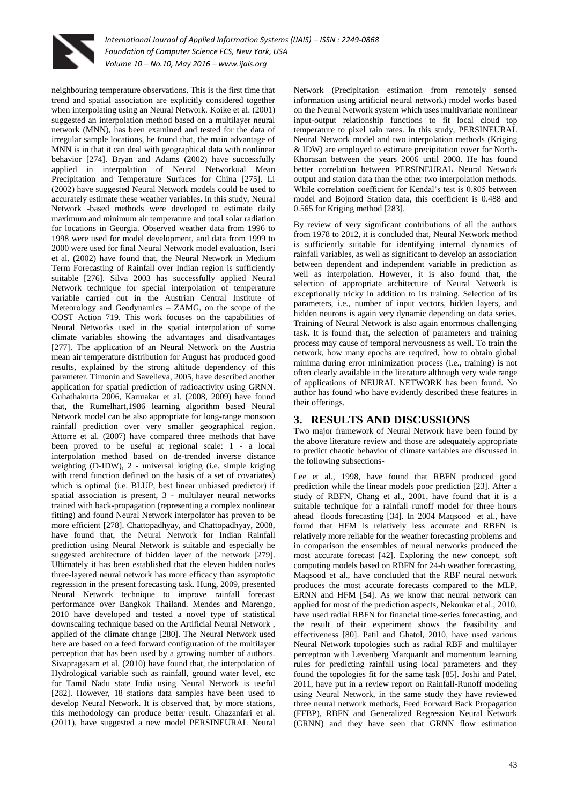

neighbouring temperature observations. This is the first time that trend and spatial association are explicitly considered together when interpolating using an Neural Network. Koike et al. (2001) suggested an interpolation method based on a multilayer neural network (MNN), has been examined and tested for the data of irregular sample locations, he found that, the main advantage of MNN is in that it can deal with geographical data with nonlinear behavior [274]. Bryan and Adams (2002) have successfully applied in interpolation of Neural Networkual Mean Precipitation and Temperature Surfaces for China [275]. Li (2002) have suggested Neural Network models could be used to accurately estimate these weather variables. In this study, Neural Network -based methods were developed to estimate daily maximum and minimum air temperature and total solar radiation for locations in Georgia. Observed weather data from 1996 to 1998 were used for model development, and data from 1999 to 2000 were used for final Neural Network model evaluation, Iseri et al. (2002) have found that, the Neural Network in Medium Term Forecasting of Rainfall over Indian region is sufficiently suitable [276]. Silva 2003 has successfully applied Neural Network technique for special interpolation of temperature variable carried out in the Austrian Central Institute of Meteorology and Geodynamics – ZAMG, on the scope of the COST Action 719. This work focuses on the capabilities of Neural Networks used in the spatial interpolation of some climate variables showing the advantages and disadvantages [277]. The application of an Neural Network on the Austria mean air temperature distribution for August has produced good results, explained by the strong altitude dependency of this parameter. Timonin and Savelieva, 2005, have described another application for spatial prediction of radioactivity using GRNN. Guhathakurta 2006, Karmakar et al. (2008, 2009) have found that, the Rumelhart,1986 learning algorithm based Neural Network model can be also appropriate for long-range monsoon rainfall prediction over very smaller geographical region. Attorre et al. (2007) have compared three methods that have been proved to be useful at regional scale: 1 - a local interpolation method based on de-trended inverse distance weighting (D-IDW), 2 - universal kriging (i.e. simple kriging with trend function defined on the basis of a set of covariates) which is optimal (i.e. BLUP, best linear unbiased predictor) if spatial association is present, 3 - multilayer neural networks trained with back-propagation (representing a complex nonlinear fitting) and found Neural Network interpolator has proven to be more efficient [278]. Chattopadhyay, and Chattopadhyay, 2008, have found that, the Neural Network for Indian Rainfall prediction using Neural Network is suitable and especially he suggested architecture of hidden layer of the network [279]. Ultimately it has been established that the eleven hidden nodes three-layered neural network has more efficacy than asymptotic regression in the present forecasting task. Hung, 2009, presented Neural Network technique to improve rainfall forecast performance over Bangkok Thailand. Mendes and Marengo, 2010 have developed and tested a novel type of statistical downscaling technique based on the Artificial Neural Network , applied of the climate change [280]. The Neural Network used here are based on a feed forward configuration of the multilayer perception that has been used by a growing number of authors. Sivapragasam et al. (2010) have found that, the interpolation of Hydrological variable such as rainfall, ground water level, etc for Tamil Nadu state India using Neural Network is useful [282]. However, 18 stations data samples have been used to develop Neural Network. It is observed that, by more stations, this methodology can produce better result. Ghazanfari et al. (2011), have suggested a new model PERSINEURAL Neural Network (Precipitation estimation from remotely sensed information using artificial neural network) model works based on the Neural Network system which uses multivariate nonlinear input-output relationship functions to fit local cloud top temperature to pixel rain rates. In this study, PERSINEURAL Neural Network model and two interpolation methods (Kriging & IDW) are employed to estimate precipitation cover for North-Khorasan between the years 2006 until 2008. He has found better correlation between PERSINEURAL Neural Network output and station data than the other two interpolation methods. While correlation coefficient for Kendal's test is 0.805 between model and Bojnord Station data, this coefficient is 0.488 and 0.565 for Kriging method [283].

By review of very significant contributions of all the authors from 1978 to 2012, it is concluded that, Neural Network method is sufficiently suitable for identifying internal dynamics of rainfall variables, as well as significant to develop an association between dependent and independent variable in prediction as well as interpolation. However, it is also found that, the selection of appropriate architecture of Neural Network is exceptionally tricky in addition to its training. Selection of its parameters, i.e., number of input vectors, hidden layers, and hidden neurons is again very dynamic depending on data series. Training of Neural Network is also again enormous challenging task. It is found that, the selection of parameters and training process may cause of temporal nervousness as well. To train the network, how many epochs are required, how to obtain global minima during error minimization process (i.e., training) is not often clearly available in the literature although very wide range of applications of NEURAL NETWORK has been found. No author has found who have evidently described these features in their offerings.

## **3. RESULTS AND DISCUSSIONS**

Two major framework of Neural Network have been found by the above literature review and those are adequately appropriate to predict chaotic behavior of climate variables are discussed in the following subsections-

Lee et al., 1998, have found that RBFN produced good prediction while the linear models poor prediction [23]. After a study of RBFN, Chang et al., 2001, have found that it is a suitable technique for a rainfall runoff model for three hours ahead floods forecasting [34]. In 2004 Maqsood et al., have found that HFM is relatively less accurate and RBFN is relatively more reliable for the weather forecasting problems and in comparison the ensembles of neural networks produced the most accurate forecast [42]. Exploring the new concept, soft computing models based on RBFN for 24-h weather forecasting, Maqsood et al., have concluded that the RBF neural network produces the most accurate forecasts compared to the MLP, ERNN and HFM [54]. As we know that neural network can applied for most of the prediction aspects, Nekoukar et al., 2010, have used radial RBFN for financial time-series forecasting, and the result of their experiment shows the feasibility and effectiveness [80]. Patil and Ghatol, 2010, have used various Neural Network topologies such as radial RBF and multilayer perceptron with Levenberg Marquardt and momentum learning rules for predicting rainfall using local parameters and they found the topologies fit for the same task [85]. Joshi and Patel, 2011, have put in a review report on Rainfall-Runoff modeling using Neural Network, in the same study they have reviewed three neural network methods, Feed Forward Back Propagation (FFBP), RBFN and Generalized Regression Neural Network (GRNN) and they have seen that GRNN flow estimation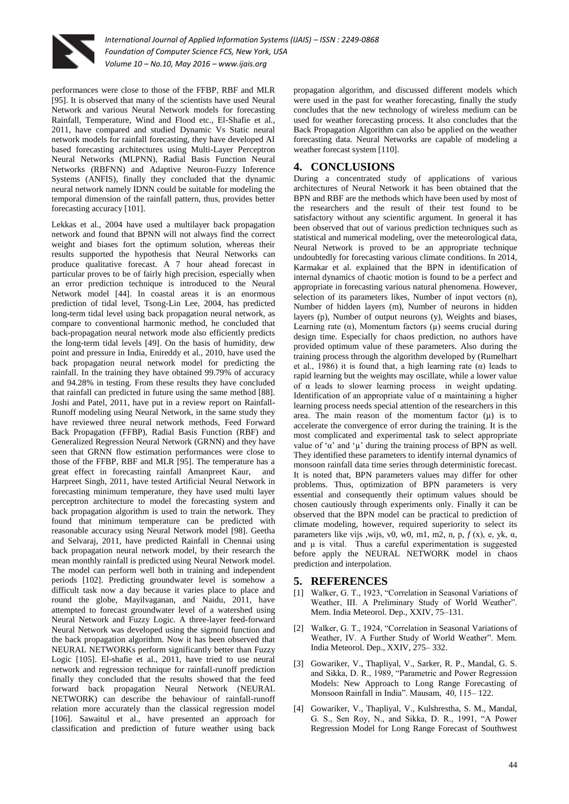

performances were close to those of the FFBP, RBF and MLR [95]. It is observed that many of the scientists have used Neural Network and various Neural Network models for forecasting Rainfall, Temperature, Wind and Flood etc., El-Shafie et al., 2011, have compared and studied Dynamic Vs Static neural network models for rainfall forecasting, they have developed AI based forecasting architectures using Multi-Layer Perceptron Neural Networks (MLPNN), Radial Basis Function Neural Networks (RBFNN) and Adaptive Neuron-Fuzzy Inference Systems (ANFIS), finally they concluded that the dynamic neural network namely IDNN could be suitable for modeling the temporal dimension of the rainfall pattern, thus, provides better forecasting accuracy [101].

Lekkas et al., 2004 have used a multilayer back propagation network and found that BPNN will not always find the correct weight and biases fort the optimum solution, whereas their results supported the hypothesis that Neural Networks can produce qualitative forecast. A 7 hour ahead forecast in particular proves to be of fairly high precision, especially when an error prediction technique is introduced to the Neural Network model [44]. In coastal areas it is an enormous prediction of tidal level, Tsong-Lin Lee, 2004, has predicted long-term tidal level using back propagation neural network, as compare to conventional harmonic method, he concluded that back-propagation neural network mode also efficiently predicts the long-term tidal levels [49]. On the basis of humidity, dew point and pressure in India, Enireddy et al., 2010, have used the back propagation neural network model for predicting the rainfall. In the training they have obtained 99.79% of accuracy and 94.28% in testing. From these results they have concluded that rainfall can predicted in future using the same method [88]. Joshi and Patel, 2011, have put in a review report on Rainfall-Runoff modeling using Neural Network, in the same study they have reviewed three neural network methods, Feed Forward Back Propagation (FFBP), Radial Basis Function (RBF) and Generalized Regression Neural Network (GRNN) and they have seen that GRNN flow estimation performances were close to those of the FFBP, RBF and MLR [95]. The temperature has a great effect in forecasting rainfall Amanpreet Kaur, and Harpreet Singh, 2011, have tested Artificial Neural Network in forecasting minimum temperature, they have used multi layer perceptron architecture to model the forecasting system and back propagation algorithm is used to train the network. They found that minimum temperature can be predicted with reasonable accuracy using Neural Network model [98]. Geetha and Selvaraj, 2011, have predicted Rainfall in Chennai using back propagation neural network model, by their research the mean monthly rainfall is predicted using Neural Network model. The model can perform well both in training and independent periods [102]. Predicting groundwater level is somehow a difficult task now a day because it varies place to place and round the globe, Mayilvaganan, and Naidu, 2011, have attempted to forecast groundwater level of a watershed using Neural Network and Fuzzy Logic. A three-layer feed-forward Neural Network was developed using the sigmoid function and the back propagation algorithm. Now it has been observed that NEURAL NETWORKs perform significantly better than Fuzzy Logic [105]. El-shafie et al., 2011, have tried to use neural network and regression technique for rainfall-runoff prediction finally they concluded that the results showed that the feed forward back propagation Neural Network (NEURAL NETWORK) can describe the behaviour of rainfall-runoff relation more accurately than the classical regression model [106]. Sawaitul et al., have presented an approach for classification and prediction of future weather using back

propagation algorithm, and discussed different models which were used in the past for weather forecasting, finally the study concludes that the new technology of wireless medium can be used for weather forecasting process. It also concludes that the Back Propagation Algorithm can also be applied on the weather forecasting data. Neural Networks are capable of modeling a weather forecast system [110].

## **4. CONCLUSIONS**

During a concentrated study of applications of various architectures of Neural Network it has been obtained that the BPN and RBF are the methods which have been used by most of the researchers and the result of their test found to be satisfactory without any scientific argument. In general it has been observed that out of various prediction techniques such as statistical and numerical modeling, over the meteorological data, Neural Network is proved to be an appropriate technique undoubtedly for forecasting various climate conditions. In 2014, Karmakar et al. explained that the BPN in identification of internal dynamics of chaotic motion is found to be a perfect and appropriate in forecasting various natural phenomena. However, selection of its parameters likes, Number of input vectors (n), Number of hidden layers (m), Number of neurons in hidden layers (p), Number of output neurons (y), Weights and biases, Learning rate ( $\alpha$ ), Momentum factors ( $\mu$ ) seems crucial during design time. Especially for chaos prediction, no authors have provided optimum value of these parameters. Also during the training process through the algorithm developed by (Rumelhart et al., 1986) it is found that, a high learning rate  $(\alpha)$  leads to rapid learning but the weights may oscillate, while a lower value of α leads to slower learning process in weight updating. Identification of an appropriate value of α maintaining a higher learning process needs special attention of the researchers in this area. The main reason of the momentum factor  $(u)$  is to accelerate the convergence of error during the training. It is the most complicated and experimental task to select appropriate value of ' $\alpha$ ' and ' $\mu$ ' during the training process of BPN as well. They identified these parameters to identify internal dynamics of monsoon rainfall data time series through deterministic forecast. It is noted that, BPN parameters values may differ for other problems. Thus, optimization of BPN parameters is very essential and consequently their optimum values should be chosen cautiously through experiments only. Finally it can be observed that the BPN model can be practical to prediction of climate modeling, however, required superiority to select its parameters like vijs ,wijs, v0, w0, m1, m2, n, p, *f* (x), e, yk, α, and μ is vital. Thus a careful experimentation is suggested before apply the NEURAL NETWORK model in chaos prediction and interpolation.

#### **5. REFERENCES**

- [1] Walker, G. T., 1923, "Correlation in Seasonal Variations of Weather, III. A Preliminary Study of World Weather". Mem. India Meteorol. Dep., XXIV, 75–131.
- [2] Walker, G. T., 1924, "Correlation in Seasonal Variations of Weather, IV. A Further Study of World Weather". Mem. India Meteorol. Dep., XXIV, 275– 332.
- [3] Gowariker, V., Thapliyal, V., Sarker, R. P., Mandal, G. S. and Sikka, D. R., 1989, "Parametric and Power Regression Models: New Approach to Long Range Forecasting of Monsoon Rainfall in India". Mausam, 40, 115– 122.
- [4] Gowariker, V., Thapliyal, V., Kulshrestha, S. M., Mandal, G. S., Sen Roy, N., and Sikka, D. R., 1991, "A Power Regression Model for Long Range Forecast of Southwest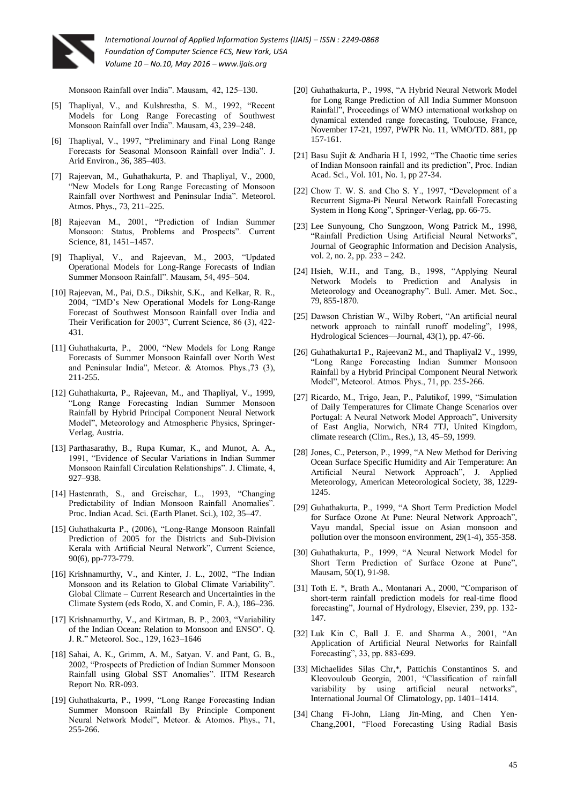

Monsoon Rainfall over India". Mausam, 42, 125–130.

- [5] Thapliyal, V., and Kulshrestha, S. M., 1992, "Recent Models for Long Range Forecasting of Southwest Monsoon Rainfall over India". Mausam, 43, 239–248.
- [6] Thapliyal, V., 1997, "Preliminary and Final Long Range Forecasts for Seasonal Monsoon Rainfall over India". J. Arid Environ., 36, 385–403.
- [7] Rajeevan, M., Guhathakurta, P. and Thapliyal, V., 2000, "New Models for Long Range Forecasting of Monsoon Rainfall over Northwest and Peninsular India". Meteorol. Atmos. Phys., 73, 211–225.
- [8] Rajeevan M., 2001, "Prediction of Indian Summer Monsoon: Status, Problems and Prospects". Current Science, 81, 1451–1457.
- [9] Thapliyal, V., and Rajeevan, M., 2003, "Updated Operational Models for Long-Range Forecasts of Indian Summer Monsoon Rainfall". Mausam, 54, 495–504.
- [10] Rajeevan, M., Pai, D.S., Dikshit, S.K., and Kelkar, R. R., 2004, "IMD's New Operational Models for Long-Range Forecast of Southwest Monsoon Rainfall over India and Their Verification for 2003", Current Science, 86 (3), 422- 431.
- [11] Guhathakurta, P., 2000, "New Models for Long Range Forecasts of Summer Monsoon Rainfall over North West and Peninsular India", Meteor. & Atomos. Phys.,73 (3), 211-255.
- [12] Guhathakurta, P., Rajeevan, M., and Thapliyal, V., 1999, "Long Range Forecasting Indian Summer Monsoon Rainfall by Hybrid Principal Component Neural Network Model", Meteorology and Atmospheric Physics, Springer-Verlag, Austria.
- [13] Parthasarathy, B., Rupa Kumar, K., and Munot, A. A., 1991, "Evidence of Secular Variations in Indian Summer Monsoon Rainfall Circulation Relationships". J. Climate, 4, 927–938.
- [14] Hastenrath, S., and Greischar, L., 1993, "Changing Predictability of Indian Monsoon Rainfall Anomalies". Proc. Indian Acad. Sci. (Earth Planet. Sci.), 102, 35–47.
- [15] Guhathakurta P., (2006), "Long-Range Monsoon Rainfall Prediction of 2005 for the Districts and Sub-Division Kerala with Artificial Neural Network", Current Science, 90(6), pp-773-779.
- [16] Krishnamurthy, V., and Kinter, J. L., 2002, "The Indian Monsoon and its Relation to Global Climate Variability". Global Climate – Current Research and Uncertainties in the Climate System (eds Rodo, X. and Comin, F. A.), 186–236.
- [17] Krishnamurthy, V., and Kirtman, B. P., 2003, "Variability of the Indian Ocean: Relation to Monsoon and ENSO". Q. J. R." Meteorol. Soc., 129, 1623–1646
- [18] Sahai, A. K., Grimm, A. M., Satyan. V. and Pant, G. B., 2002, "Prospects of Prediction of Indian Summer Monsoon Rainfall using Global SST Anomalies". IITM Research Report No. RR-093.
- [19] Guhathakurta, P., 1999, "Long Range Forecasting Indian Summer Monsoon Rainfall By Principle Component Neural Network Model", Meteor. & Atomos. Phys., 71, 255-266.
- [20] Guhathakurta, P., 1998, "A Hybrid Neural Network Model for Long Range Prediction of All India Summer Monsoon Rainfall", Proceedings of WMO international workshop on dynamical extended range forecasting, Toulouse, France, November 17-21, 1997, PWPR No. 11, WMO/TD. 881, pp 157-161.
- [21] Basu Sujit & Andharia H I, 1992, "The Chaotic time series of Indian Monsoon rainfall and its prediction", Proc. Indian Acad. Sci., Vol. 101, No. 1, pp 27-34.
- [22] Chow T. W. S. and Cho S. Y., 1997, "Development of a Recurrent Sigma-Pi Neural Network Rainfall Forecasting System in Hong Kong", Springer-Verlag, pp. 66-75.
- [23] Lee Sunyoung, Cho Sungzoon, Wong Patrick M., 1998, "Rainfall Prediction Using Artificial Neural Networks", Journal of Geographic Information and Decision Analysis, vol. 2, no. 2, pp. 233 – 242.
- [24] Hsieh, W.H., and Tang, B., 1998, "Applying Neural Network Models to Prediction and Analysis in Meteorology and Oceanography". Bull. Amer. Met. Soc., 79, 855-1870.
- [25] Dawson Christian W., Wilby Robert, "An artificial neural network approach to rainfall runoff modeling", 1998, Hydrological Sciences—Journal, 43(1), pp. 47-66.
- [26] Guhathakurta1 P., Rajeevan2 M., and Thapliyal2 V., 1999, "Long Range Forecasting Indian Summer Monsoon Rainfall by a Hybrid Principal Component Neural Network Model", Meteorol. Atmos. Phys., 71, pp. 255-266.
- [27] Ricardo, M., Trigo, Jean, P., Palutikof, 1999, "Simulation of Daily Temperatures for Climate Change Scenarios over Portugal: A Neural Network Model Approach", University of East Anglia, Norwich, NR4 7TJ, United Kingdom, climate research (Clim., Res.), 13, 45–59, 1999.
- [28] Jones, C., Peterson, P., 1999, "A New Method for Deriving Ocean Surface Specific Humidity and Air Temperature: An Artificial Neural Network Approach", J. Applied Meteorology, American Meteorological Society, 38, 1229- 1245.
- [29] Guhathakurta, P., 1999, "A Short Term Prediction Model for Surface Ozone At Pune: Neural Network Approach", Vayu mandal, Special issue on Asian monsoon and pollution over the monsoon environment, 29(1-4), 355-358.
- [30] Guhathakurta, P., 1999, "A Neural Network Model for Short Term Prediction of Surface Ozone at Pune", Mausam, 50(1), 91-98.
- [31] Toth E. \*, Brath A., Montanari A., 2000, "Comparison of short-term rainfall prediction models for real-time flood forecasting", Journal of Hydrology, Elsevier, 239, pp. 132- 147.
- [32] Luk Kin C, Ball J. E. and Sharma A., 2001, "An Application of Artificial Neural Networks for Rainfall Forecasting", 33, pp. 883-699.
- [33] Michaelides Silas Chr,\*, Pattichis Constantinos S. and Kleovouloub Georgia, 2001, "Classification of rainfall variability by using artificial neural networks", International Journal Of Climatology, pp. 1401–1414.
- [34] Chang Fi-John, Liang Jin-Ming, and Chen Yen-Chang,2001, "Flood Forecasting Using Radial Basis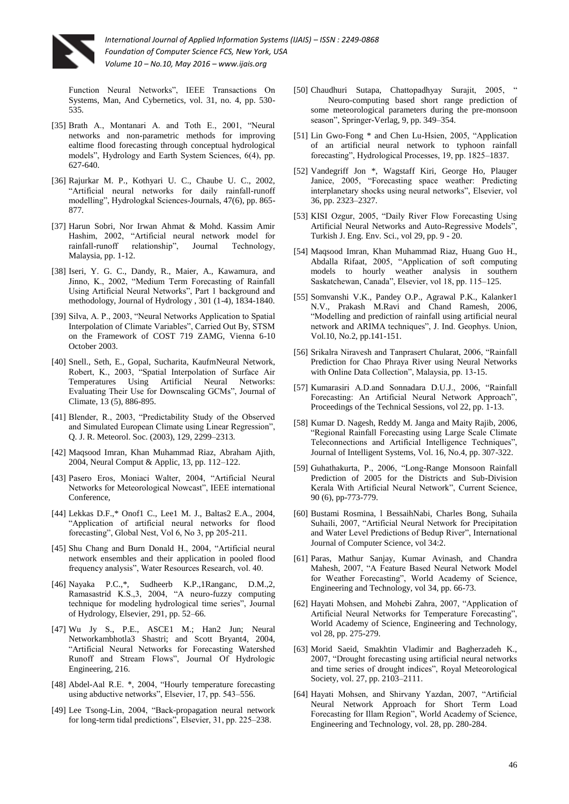

Function Neural Networks", IEEE Transactions On Systems, Man, And Cybernetics, vol. 31, no. 4, pp. 530- 535.

- [35] Brath A., Montanari A. and Toth E., 2001, "Neural networks and non-parametric methods for improving ealtime flood forecasting through conceptual hydrological models", Hydrology and Earth System Sciences, 6(4), pp. 627-640.
- [36] Rajurkar M. P., Kothyari U. C., Chaube U. C., 2002, "Artificial neural networks for daily rainfall-runoff modelling", Hydrologkal Sciences-Journals, 47(6), pp. 865- 877.
- [37] Harun Sobri, Nor Irwan Ahmat & Mohd. Kassim Amir Hashim, 2002, "Artificial neural network model for rainfall-runoff relationship", Journal Technology, Malaysia, pp. 1-12.
- [38] Iseri, Y. G. C., Dandy, R., Maier, A., Kawamura, and Jinno, K., 2002, "Medium Term Forecasting of Rainfall Using Artificial Neural Networks", Part 1 background and methodology, Journal of Hydrology , 301 (1-4), 1834-1840.
- [39] Silva, A. P., 2003, "Neural Networks Application to Spatial Interpolation of Climate Variables", Carried Out By, STSM on the Framework of COST 719 ZAMG, Vienna 6-10 October 2003.
- [40] Snell., Seth, E., Gopal, Sucharita, KaufmNeural Network, Robert, K., 2003, "Spatial Interpolation of Surface Air Temperatures Using Artificial Neural Networks: Evaluating Their Use for Downscaling GCMs", Journal of Climate, 13 (5), 886-895.
- [41] Blender, R., 2003, "Predictability Study of the Observed and Simulated European Climate using Linear Regression", Q. J. R. Meteorol. Soc. (2003), 129, 2299–2313.
- [42] Maqsood Imran, Khan Muhammad Riaz, Abraham Ajith, 2004, Neural Comput & Applic, 13, pp. 112–122.
- [43] Pasero Eros, Moniaci Walter, 2004, "Artificial Neural Networks for Meteorological Nowcast", IEEE international Conference,
- [44] Lekkas D.F.,\* Onof1 C., Lee1 M. J., Baltas2 E.A., 2004, "Application of artificial neural networks for flood forecasting", Global Nest, Vol 6, No 3, pp 205-211.
- [45] Shu Chang and Burn Donald H., 2004, "Artificial neural network ensembles and their application in pooled flood frequency analysis", Water Resources Research, vol. 40.
- [46] Nayaka P.C.,\*, Sudheerb K.P.,1Ranganc, D.M.,2, Ramasastrid K.S.,3, 2004, "A neuro-fuzzy computing technique for modeling hydrological time series", Journal of Hydrology, Elsevier, 291, pp. 52–66.
- [47] Wu Jy S., P.E., ASCE1 M.; Han2 Jun; Neural Networkambhotla3 Shastri; and Scott Bryant4, 2004, "Artificial Neural Networks for Forecasting Watershed Runoff and Stream Flows", Journal Of Hydrologic Engineering, 216.
- [48] Abdel-Aal R.E. \*, 2004, "Hourly temperature forecasting using abductive networks", Elsevier, 17, pp. 543–556.
- [49] Lee Tsong-Lin, 2004, "Back-propagation neural network for long-term tidal predictions", Elsevier, 31, pp. 225–238.
- [50] Chaudhuri Sutapa, Chattopadhyay Surajit, 2005, " Neuro-computing based short range prediction of some meteorological parameters during the pre-monsoon season", Springer-Verlag, 9, pp. 349–354.
- [51] Lin Gwo-Fong \* and Chen Lu-Hsien, 2005, "Application of an artificial neural network to typhoon rainfall forecasting", Hydrological Processes, 19, pp. 1825–1837.
- [52] Vandegriff Jon \*, Wagstaff Kiri, George Ho, Plauger Janice, 2005, "Forecasting space weather: Predicting interplanetary shocks using neural networks", Elsevier, vol 36, pp. 2323–2327.
- [53] KISI Ozgur, 2005, "Daily River Flow Forecasting Using Artificial Neural Networks and Auto-Regressive Models", Turkish J. Eng. Env. Sci., vol 29, pp. 9 - 20.
- [54] Maqsood Imran, Khan Muhammad Riaz, Huang Guo H., Abdalla Rifaat, 2005, "Application of soft computing models to hourly weather analysis in southern Saskatchewan, Canada", Elsevier, vol 18, pp. 115–125.
- [55] Somvanshi V.K., Pandey O.P., Agrawal P.K., Kalanker1 N.V., Prakash M.Ravi and Chand Ramesh, 2006, "Modelling and prediction of rainfall using artificial neural network and ARIMA techniques", J. Ind. Geophys. Union, Vol.10, No.2, pp.141-151.
- [56] Srikalra Niravesh and Tanprasert Chularat, 2006, "Rainfall Prediction for Chao Phraya River using Neural Networks with Online Data Collection", Malaysia, pp. 13-15.
- [57] Kumarasiri A.D.and Sonnadara D.U.J., 2006, "Rainfall Forecasting: An Artificial Neural Network Approach", Proceedings of the Technical Sessions, vol 22, pp. 1-13.
- [58] Kumar D. Nagesh, Reddy M. Janga and Maity Rajib, 2006, "Regional Rainfall Forecasting using Large Scale Climate Teleconnections and Artificial Intelligence Techniques", Journal of Intelligent Systems, Vol. 16, No.4, pp. 307-322.
- [59] Guhathakurta, P., 2006, "Long-Range Monsoon Rainfall Prediction of 2005 for the Districts and Sub-Division Kerala With Artificial Neural Network", Current Science, 90 (6), pp-773-779.
- [60] Bustami Rosmina, l BessaihNabi, Charles Bong, Suhaila Suhaili, 2007, "Artificial Neural Network for Precipitation and Water Level Predictions of Bedup River", International Journal of Computer Science, vol 34:2.
- [61] Paras, Mathur Sanjay, Kumar Avinash, and Chandra Mahesh, 2007, "A Feature Based Neural Network Model for Weather Forecasting", World Academy of Science, Engineering and Technology, vol 34, pp. 66-73.
- [62] Hayati Mohsen, and Mohebi Zahra, 2007, "Application of Artificial Neural Networks for Temperature Forecasting", World Academy of Science, Engineering and Technology, vol 28, pp. 275-279.
- [63] Morid Saeid, Smakhtin Vladimir and Bagherzadeh K., 2007, "Drought forecasting using artificial neural networks and time series of drought indices", Royal Meteorological Society, vol. 27, pp. 2103–2111.
- [64] Hayati Mohsen, and Shirvany Yazdan, 2007, "Artificial Neural Network Approach for Short Term Load Forecasting for Illam Region", World Academy of Science, Engineering and Technology, vol. 28, pp. 280-284.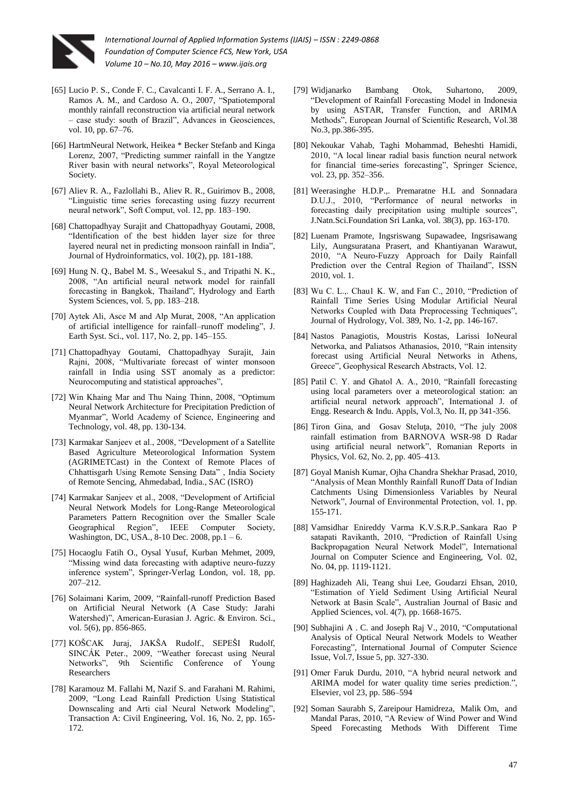

- [65] Lucio P. S., Conde F. C., Cavalcanti I. F. A., Serrano A. I., Ramos A. M., and Cardoso A. O., 2007, "Spatiotemporal monthly rainfall reconstruction via artificial neural network – case study: south of Brazil", Advances in Geosciences, vol. 10, pp. 67–76.
- [66] HartmNeural Network, Heikea \* Becker Stefanb and Kinga Lorenz, 2007, "Predicting summer rainfall in the Yangtze River basin with neural networks", Royal Meteorological Society.
- [67] Aliev R. A., Fazlollahi B., Aliev R. R., Guirimov B., 2008, "Linguistic time series forecasting using fuzzy recurrent neural network", Soft Comput, vol. 12, pp. 183–190.
- [68] Chattopadhyay Surajit and Chattopadhyay Goutami, 2008, "Identification of the best hidden layer size for three layered neural net in predicting monsoon rainfall in India", Journal of Hydroinformatics, vol. 10(2), pp. 181-188.
- [69] Hung N. Q., Babel M. S., Weesakul S., and Tripathi N. K., 2008, "An artificial neural network model for rainfall forecasting in Bangkok, Thailand", Hydrology and Earth System Sciences, vol. 5, pp. 183–218.
- [70] Aytek Ali, Asce M and Alp Murat, 2008, "An application of artificial intelligence for rainfall–runoff modeling", J. Earth Syst. Sci., vol. 117, No. 2, pp. 145–155.
- [71] Chattopadhyay Goutami, Chattopadhyay Surajit, Jain Rajni, 2008, "Multivariate forecast of winter monsoon rainfall in India using SST anomaly as a predictor: Neurocomputing and statistical approaches",
- [72] Win Khaing Mar and Thu Naing Thinn, 2008, "Optimum Neural Network Architecture for Precipitation Prediction of Myanmar", World Academy of Science, Engineering and Technology, vol. 48, pp. 130-134.
- [73] Karmakar Sanjeev et al., 2008, "Development of a Satellite Based Agriculture Meteorological Information System (AGRIMETCast) in the Context of Remote Places of Chhattisgarh Using Remote Sensing Data" , India Society of Remote Sencing, Ahmedabad, India., SAC (ISRO)
- [74] Karmakar Sanjeev et al., 2008, "Development of Artificial Neural Network Models for Long-Range Meteorological Parameters Pattern Recognition over the Smaller Scale Geographical Region", IEEE Computer Society, Washington, DC, USA., 8-10 Dec. 2008, pp.1 – 6.
- [75] Hocaoglu Fatih O., Oysal Yusuf, Kurban Mehmet, 2009, "Missing wind data forecasting with adaptive neuro-fuzzy inference system", Springer-Verlag London, vol. 18, pp. 207–212.
- [76] Solaimani Karim, 2009, "Rainfall-runoff Prediction Based on Artificial Neural Network (A Case Study: Jarahi Watershed)", American-Eurasian J. Agric. & Environ. Sci., vol. 5(6), pp. 856-865.
- [77] KOŠCAK Juraj, JAKŠA Rudolf., SEPEŠI Rudolf, SINCÁK Peter., 2009, "Weather forecast using Neural Networks", 9th Scientific Conference of Young Researchers
- [78] Karamouz M. Fallahi M, Nazif S. and Farahani M. Rahimi, 2009, "Long Lead Rainfall Prediction Using Statistical Downscaling and Arti cial Neural Network Modeling", Transaction A: Civil Engineering, Vol. 16, No. 2, pp. 165- 172.
- [79] Widjanarko Bambang Otok, Suhartono, 2009, "Development of Rainfall Forecasting Model in Indonesia by using ASTAR, Transfer Function, and ARIMA Methods", European Journal of Scientific Research, Vol.38 No.3, pp.386-395.
- [80] Nekoukar Vahab, Taghi Mohammad, Beheshti Hamidi, 2010, "A local linear radial basis function neural network for financial time-series forecasting", Springer Science, vol. 23, pp. 352–356.
- [81] Weerasinghe H.D.P., Premaratne H.L and Sonnadara D.U.J., 2010, "Performance of neural networks in forecasting daily precipitation using multiple sources", J.Natn.Sci.Foundation Sri Lanka, vol. 38(3), pp. 163-170.
- [82] Luenam Pramote, Ingsriswang Supawadee, Ingsrisawang Lily, Aungsuratana Prasert, and Khantiyanan Warawut, 2010, "A Neuro-Fuzzy Approach for Daily Rainfall Prediction over the Central Region of Thailand", ISSN 2010, vol. 1.
- [83] Wu C. L.,. Chaul K. W, and Fan C., 2010, "Prediction of Rainfall Time Series Using Modular Artificial Neural Networks Coupled with Data Preprocessing Techniques", Journal of Hydrology, Vol. 389, No. 1-2, pp. 146-167.
- [84] Nastos Panagiotis, Moustris Kostas, Larissi IoNeural Networka, and Paliatsos Athanasios, 2010, "Rain intensity forecast using Artificial Neural Networks in Athens, Greece", Geophysical Research Abstracts, Vol. 12.
- [85] Patil C. Y. and Ghatol A. A., 2010, "Rainfall forecasting using local parameters over a meteorological station: an artificial neural network approach", International J. of Engg. Research & Indu. Appls, Vol.3, No. II, pp 341-356.
- [86] Tiron Gina, and Gosav Steluta, 2010, "The july 2008 rainfall estimation from BARNOVA WSR-98 D Radar using artificial neural network", Romanian Reports in Physics, Vol. 62, No. 2, pp. 405–413.
- [87] Goyal Manish Kumar, Ojha Chandra Shekhar Prasad, 2010, "Analysis of Mean Monthly Rainfall Runoff Data of Indian Catchments Using Dimensionless Variables by Neural Network", Journal of Environmental Protection, vol. 1, pp. 155-171.
- [88] Vamsidhar Enireddy Varma K.V.S.R.P..Sankara Rao P satapati Ravikanth, 2010, "Prediction of Rainfall Using Backpropagation Neural Network Model", International Journal on Computer Science and Engineering, Vol. 02, No. 04, pp. 1119-1121.
- [89] Haghizadeh Ali, Teang shui Lee, Goudarzi Ehsan, 2010, "Estimation of Yield Sediment Using Artificial Neural Network at Basin Scale", Australian Journal of Basic and Applied Sciences, vol. 4(7), pp. 1668-1675.
- [90] Subhajini A . C. and Joseph Raj V., 2010, "Computational Analysis of Optical Neural Network Models to Weather Forecasting", International Journal of Computer Science Issue, Vol.7, Issue 5, pp. 327-330.
- [91] Omer Faruk Durdu, 2010, "A hybrid neural network and ARIMA model for water quality time series prediction.", Elsevier, vol 23, pp. 586–594
- [92] Soman Saurabh S, Zareipour Hamidreza, Malik Om, and Mandal Paras, 2010, "A Review of Wind Power and Wind Speed Forecasting Methods With Different Time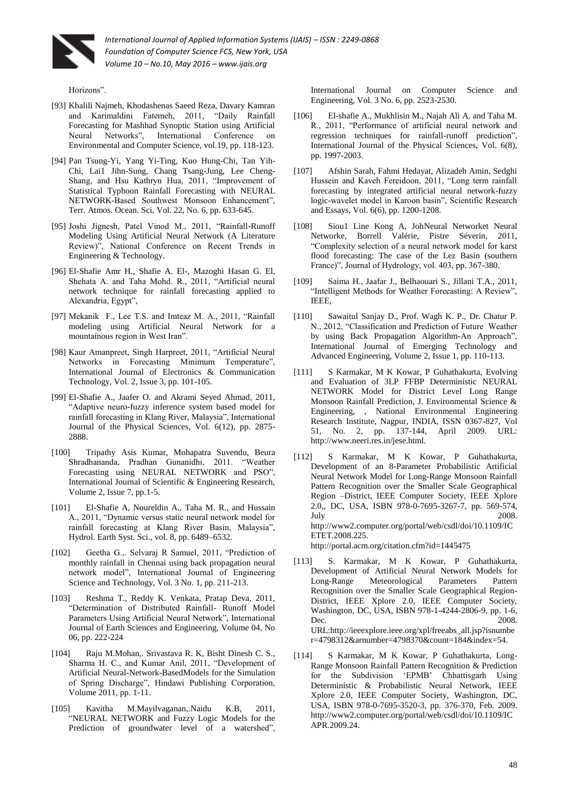

Horizons".

- [93] Khalili Najmeh, Khodashenas Saeed Reza, Davary Kamran and Karimaldini Fatemeh, 2011, "Daily Rainfall Forecasting for Mashhad Synoptic Station using Artificial Neural Networks", International Conference on Environmental and Computer Science, vol.19, pp. 118-123.
- [94] Pan Tsung-Yi, Yang Yi-Ting, Kuo Hung-Chi, Tan Yih-Chi, Lai1 Jihn-Sung, Chang Tsang-Jung, Lee Cheng-Shang, and Hsu Kathryn Hua, 2011, "Improvement of Statistical Typhoon Rainfall Forecasting with NEURAL NETWORK-Based Southwest Monsoon Enhancement", Terr. Atmos. Ocean. Sci, Vol. 22, No. 6, pp. 633-645.
- [95] Joshi Jignesh, Patel Vinod M., 2011, "Rainfall-Runoff Modeling Using Artificial Neural Network (A Literature Review)", National Conference on Recent Trends in Engineering & Technology.
- [96] El-Shafie Amr H., Shafie A. El-, Mazoghi Hasan G. El, Shehata A. and Taha Mohd. R., 2011, "Artificial neural network technique for rainfall forecasting applied to Alexandria, Egypt",
- [97] Mekanik F., Lee T.S. and Imteaz M. A., 2011, "Rainfall modeling using Artificial Neural Network for a mountainous region in West Iran".
- [98] Kaur Amanpreet, Singh Harpreet, 2011, "Artificial Neural Networks in Forecasting Minimum Temperature", International Journal of Electronics & Communication Technology, Vol. 2, Issue 3, pp. 101-105.
- [99] El-Shafie A., Jaafer O. and Akrami Seyed Ahmad, 2011, "Adaptive neuro-fuzzy inference system based model for rainfall forecasting in Klang River, Malaysia", International Journal of the Physical Sciences, Vol. 6(12), pp. 2875- 2888.
- [100] Tripathy Asis Kumar, Mohapatra Suvendu, Beura Shradhananda, Pradhan Gunanidhi, 2011. "Weather Forecasting using NEURAL NETWORK and PSO", International Journal of Scientific & Engineering Research, Volume 2, Issue 7, pp.1-5.
- [101] El-Shafie A, Noureldin A., Taha M. R., and Hussain A., 2011, "Dynamic versus static neural network model for rainfall forecasting at Klang River Basin, Malaysia", Hydrol. Earth Syst. Sci., vol. 8, pp. 6489–6532.
- [102] Geetha G.,. Selvaraj R Samuel, 2011, "Prediction of monthly rainfall in Chennai using back propagation neural network model", International Journal of Engineering Science and Technology, Vol. 3 No. 1, pp. 211-213.
- [103] Reshma T., Reddy K. Venkata, Pratap Deva, 2011, "Determination of Distributed Rainfall- Runoff Model Parameters Using Artificial Neural Network", International Journal of Earth Sciences and Engineering, Volume 04, No 06, pp. 222-224
- [104] Raju M.Mohan,. Srivastava R. K, Bisht Dinesh C. S., Sharma H. C., and Kumar Anil, 2011, "Development of Artificial Neural-Network-BasedModels for the Simulation of Spring Discharge", Hindawi Publishing Corporation, Volume 2011, pp. 1-11.
- [105] Kavitha M.Mayilvaganan,.Naidu K.B, 2011, "NEURAL NETWORK and Fuzzy Logic Models for the Prediction of groundwater level of a watershed",

International Journal on Computer Science and Engineering, Vol. 3 No. 6, pp. 2523-2530.

- [106] El-shafie A., Mukhlisin M., Najah Ali A. and Taha M. R., 2011, "Performance of artificial neural network and regression techniques for rainfall-runoff prediction", International Journal of the Physical Sciences, Vol. 6(8), pp. 1997-2003.
- [107] Afshin Sarah, Fahmi Hedayat, Alizadeh Amin, Sedghi Hussein and Kaveh Fereidoon, 2011, "Long term rainfall forecasting by integrated artificial neural network-fuzzy logic-wavelet model in Karoon basin", Scientific Research and Essays, Vol. 6(6), pp. 1200-1208.
- [108] Siou1 Line Kong A, JohNeural Networket Neural Networke, Borrell Valérie, Pistre Séverin, 2011, "Complexity selection of a neural network model for karst flood forecasting: The case of the Lez Basin (southern France)", Journal of Hydrology, vol. 403, pp. 367-380.
- [109] Saima H., Jaafar J., Belhaouari S., Jillani T.A., 2011, "Intelligent Methods for Weather Forecasting: A Review", IEEE,
- [110] Sawaitul Sanjay D., Prof. Wagh K. P., Dr. Chatur P. N., 2012, "Classification and Prediction of Future Weather by using Back Propagation Algorithm-An Approach", International Journal of Emerging Technology and Advanced Engineering, Volume 2, Issue 1, pp. 110-113.
- [111] S Karmakar, M K Kowar, P Guhathakurta, Evolving and Evaluation of 3LP FFBP Deterministic NEURAL NETWORK Model for District Level Long Range Monsoon Rainfall Prediction, J. Environmental Science & Engineering, , National Environmental Engineering Research Institute, Nagpur, INDIA, ISSN 0367-827, Vol 51, No. 2, pp. 137-144, April 2009. URL: http://www.neeri.res.in/jese.html.
- [112] S Karmakar, M K Kowar, P Guhathakurta, Development of an 8-Parameter Probabilistic Artificial Neural Network Model for Long-Range Monsoon Rainfall Pattern Recognition over the Smaller Scale Geographical Region –District, IEEE Computer Society, IEEE Xplore 2.0,, DC, USA, ISBN 978-0-7695-3267-7, pp. 569-574, July 2008. http://www2.computer.org/portal/web/csdl/doi/10.1109/IC ETET.2008.225. http://portal.acm.org/citation.cfm?id=1445475
- [113] S. Karmakar, M K Kowar, P Guhathakurta, Development of Artificial Neural Network Models for Long-Range Meteorological Parameters Pattern Recognition over the Smaller Scale Geographical Region-District, IEEE Xplore 2.0, IEEE Computer Society, Washington, DC, USA, ISBN 978-1-4244-2806-9, pp. 1-6, Dec. 2008. URL:http://ieeexplore.ieee.org/xpl/freeabs\_all.jsp?isnumbe

r=4798312&arnumber=4798370&count=184&index=54.

[114] S Karmakar, M K Kowar, P Guhathakurta, Long-Range Monsoon Rainfall Pattern Recognition & Prediction for the Subdivision 'EPMB' Chhattisgarh Using Deterministic & Probabilistic Neural Network, IEEE Xplore 2.0, IEEE Computer Society, Washington, DC, USA, ISBN 978-0-7695-3520-3, pp. 376-370, Feb. 2009. http://www2.computer.org/portal/web/csdl/doi/10.1109/IC APR.2009.24.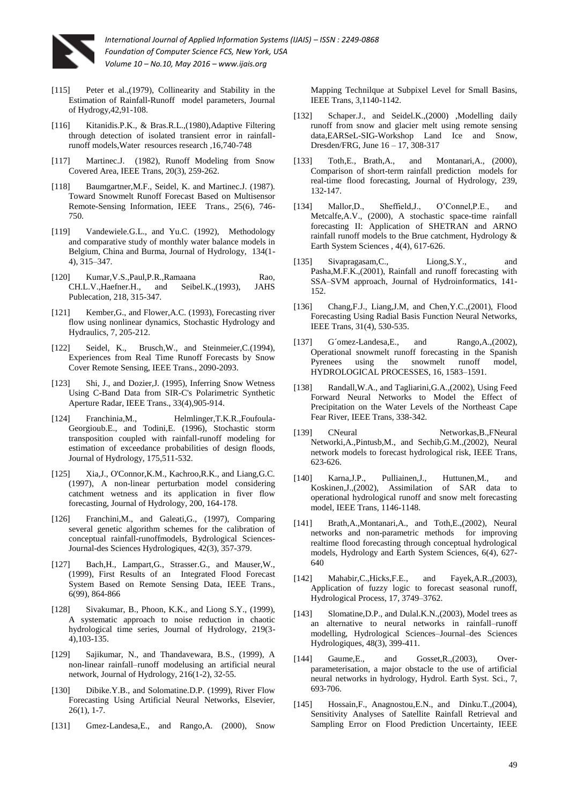

- [115] Peter et al.,(1979), Collinearity and Stability in the Estimation of Rainfall-Runoff model parameters, Journal of Hydrogy,42,91-108.
- Kitanidis.P.K., & Bras.R.L.,(1980),Adaptive Filtering through detection of isolated transient error in rainfallrunoff models,Water resources research ,16,740-748
- [117] Martinec.J. (1982), Runoff Modeling from Snow Covered Area, IEEE Trans, 20(3), 259-262.
- [118] Baumgartner,M.F., Seidel, K. and Martinec.J. (1987). Toward Snowmelt Runoff Forecast Based on Multisensor Remote-Sensing Information, IEEE Trans., 25(6), 746- 750.
- [119] Vandewiele.G.L., and Yu.C. (1992), Methodology and comparative study of monthly water balance models in Belgium, China and Burma, Journal of Hydrology, 134(1- 4), 315–347.
- [120] Kumar,V.S.,Paul,P.R.,Ramaana Rao, CH.L.V.,Haefner.H., and Seibel.K.,(1993), JAHS Publecation, 218, 315-347.
- [121] Kember, G., and Flower, A.C. (1993), Forecasting river flow using nonlinear dynamics, Stochastic Hydrology and Hydraulics, 7, 205-212.
- [122] Seidel, K., Brusch, W., and Steinmeier, C. (1994), Experiences from Real Time Runoff Forecasts by Snow Cover Remote Sensing, IEEE Trans., 2090-2093.
- Shi, J., and Dozier,J. (1995), Inferring Snow Wetness Using C-Band Data from SIR-C's Polarimetric Synthetic Aperture Radar, IEEE Trans., 33(4),905-914.
- [124] Franchinia, M., Helmlinger, T.K.R., Foufoula-Georgioub.E., and Todini,E. (1996), Stochastic storm transposition coupled with rainfall-runoff modeling for estimation of exceedance probabilities of design floods, Journal of Hydrology, 175,511-532.
- [125] Xia,J., O'Connor,K.M., Kachroo,R.K., and Liang,G.C. (1997), A non-linear perturbation model considering catchment wetness and its application in fiver flow forecasting, Journal of Hydrology, 200, 164-178.
- [126] Franchini,M., and Galeati,G., (1997), Comparing several genetic algorithm schemes for the calibration of conceptual rainfall-runoffmodels, Bydrological Sciences-Journal-des Sciences Hydrologiques, 42(3), 357-379.
- Bach,H., Lampart,G., Strasser.G., and Mauser,W., (1999), First Results of an Integrated Flood Forecast System Based on Remote Sensing Data, IEEE Trans., 6(99), 864-866
- [128] Sivakumar, B., Phoon, K.K., and Liong S.Y., (1999), A systematic approach to noise reduction in chaotic hydrological time series, Journal of Hydrology, 219(3- 4),103-135.
- [129] Sajikumar, N., and Thandavewara, B.S., (1999), A non-linear rainfall–runoff modelusing an artificial neural network, Journal of Hydrology, 216(1-2), 32-55.
- [130] Dibike.Y.B., and Solomatine.D.P. (1999), River Flow Forecasting Using Artificial Neural Networks, Elsevier,  $26(1)$ , 1-7.
- [131] Gmez-Landesa,E., and Rango,A. (2000), Snow

Mapping Technilque at Subpixel Level for Small Basins, IEEE Trans, 3,1140-1142.

- [132] Schaper.J., and Seidel.K.,(2000) ,Modelling daily runoff from snow and glacier melt using remote sensing data,EARSeL-SIG-Workshop Land Ice and Snow, Dresden/FRG, June 16 – 17, 308-317
- [133] Toth,E., Brath,A., and Montanari,A., (2000), Comparison of short-term rainfall prediction models for real-time flood forecasting, Journal of Hydrology, 239, 132-147.
- [134] Mallor,D., Sheffield,J., O'Connel,P.E., and Metcalfe,A.V., (2000), A stochastic space-time rainfall forecasting II: Application of SHETRAN and ARNO rainfall runoff models to the Brue catchment, Hydrology & Earth System Sciences , 4(4), 617-626.
- [135] Sivapragasam, C., Liong, S.Y., and Pasha,M.F.K.,(2001), Rainfall and runoff forecasting with SSA–SVM approach, Journal of Hydroinformatics, 141- 152.
- [136] Chang,F.J., Liang,J.M, and Chen,Y.C.,(2001), Flood Forecasting Using Radial Basis Function Neural Networks, IEEE Trans, 31(4), 530-535.
- [137] G´omez-Landesa,E., and Rango,A.,(2002), Operational snowmelt runoff forecasting in the Spanish Pyrenees using the snowmelt runoff model, HYDROLOGICAL PROCESSES, 16, 1583–1591.
- [138] Randall,W.A., and Tagliarini,G.A.,(2002), Using Feed Forward Neural Networks to Model the Effect of Precipitation on the Water Levels of the Northeast Cape Fear River, IEEE Trans, 338-342.
- [139] CNeural Networkas, B., FNeural Networki,A.,Pintusb,M., and Sechib,G.M.,(2002), Neural network models to forecast hydrological risk, IEEE Trans, 623-626.
- [140] Karna,J.P., Pulliainen,J., Huttunen,M., and Koskinen,J.,(2002), Assimilation of SAR data to operational hydrological runoff and snow melt forecasting model, IEEE Trans, 1146-1148.
- [141] Brath,A.,Montanari,A., and Toth,E.,(2002), Neural networks and non-parametric methods for improving realtime flood forecasting through conceptual hydrological models, Hydrology and Earth System Sciences, 6(4), 627- 640
- [142] Mahabir,C.,Hicks,F.E., and Fayek,A.R.,(2003), Application of fuzzy logic to forecast seasonal runoff, Hydrological Process, 17, 3749–3762.
- [143] Slomatine, D.P., and Dulal.K.N., (2003), Model trees as an alternative to neural networks in rainfall–runoff modelling, Hydrological Sciences–Journal–des Sciences Hydrologiques, 48(3), 399-411.
- [144] Gaume, E., and Gosset, R., (2003), Overparameterisation, a major obstacle to the use of artificial neural networks in hydrology, Hydrol. Earth Syst. Sci., 7, 693-706.
- [145] Hossain,F., Anagnostou,E.N., and Dinku.T.,(2004), Sensitivity Analyses of Satellite Rainfall Retrieval and Sampling Error on Flood Prediction Uncertainty, IEEE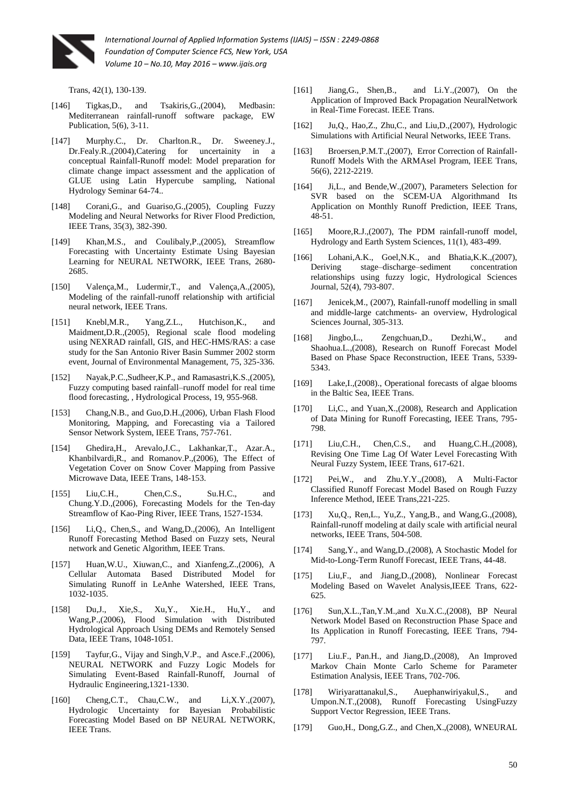

Trans, 42(1), 130-139.

- [146] Tigkas, D., and Tsakiris, G., (2004), Medbasin: Mediterranean rainfall-runoff software package, EW Publication, 5(6), 3-11.
- [147] Murphy.C., Dr. Charlton.R., Dr. Sweeney.J., Dr.Fealy.R.,(2004),Catering for uncertainity in a conceptual Rainfall-Runoff model: Model preparation for climate change impact assessment and the application of GLUE using Latin Hypercube sampling, National Hydrology Seminar 64-74..
- [148] Corani, G., and Guariso, G., (2005), Coupling Fuzzy Modeling and Neural Networks for River Flood Prediction, IEEE Trans, 35(3), 382-390.
- [149] Khan,M.S., and Coulibaly,P.,(2005), Streamflow Forecasting with Uncertainty Estimate Using Bayesian Learning for NEURAL NETWORK, IEEE Trans, 2680- 2685.
- [150] Valença,M., Ludermir,T., and Valença,A.,(2005), Modeling of the rainfall-runoff relationship with artificial neural network, IEEE Trans.
- [151] Knebl,M.R., Yang,Z.L., Hutchison,K., and Maidment,D.R.,(2005), Regional scale flood modeling using NEXRAD rainfall, GIS, and HEC-HMS/RAS: a case study for the San Antonio River Basin Summer 2002 storm event, Journal of Environmental Management, 75, 325-336.
- [152] Nayak,P.C.,Sudheer,K.P., and Ramasastri,K.S.,(2005), Fuzzy computing based rainfall–runoff model for real time flood forecasting, , Hydrological Process, 19, 955-968.
- [153] Chang,N.B., and Guo,D.H.,(2006), Urban Flash Flood Monitoring, Mapping, and Forecasting via a Tailored Sensor Network System, IEEE Trans, 757-761.
- [154] Ghedira,H., Arevalo,J.C., Lakhankar,T., Azar.A., Khanbilvardi,R., and Romanov.P.,(2006), The Effect of Vegetation Cover on Snow Cover Mapping from Passive Microwave Data, IEEE Trans, 148-153.
- [155] Liu,C.H., Chen,C.S., Su.H.C., and Chung.Y.D.,(2006), Forecasting Models for the Ten-day Streamflow of Kao-Ping River, IEEE Trans, 1527-1534.
- [156] Li,Q., Chen,S., and Wang,D.,(2006), An Intelligent Runoff Forecasting Method Based on Fuzzy sets, Neural network and Genetic Algorithm, IEEE Trans.
- Huan, W.U., Xiuwan, C., and Xianfeng, Z., (2006), A Cellular Automata Based Distributed Model for Simulating Runoff in LeAnhe Watershed, IEEE Trans, 1032-1035.
- [158] Du,J., Xie,S., Xu,Y., Xie.H., Hu,Y., and Wang,P.,(2006), Flood Simulation with Distributed Hydrological Approach Using DEMs and Remotely Sensed Data, IEEE Trans, 1048-1051.
- [159] Tayfur,G., Vijay and Singh,V.P., and Asce.F.,(2006), NEURAL NETWORK and Fuzzy Logic Models for Simulating Event-Based Rainfall-Runoff, Journal of Hydraulic Engineering,1321-1330.
- [160] Cheng, C.T., Chau, C.W., and Li, X.Y., (2007), Hydrologic Uncertainty for Bayesian Probabilistic Forecasting Model Based on BP NEURAL NETWORK, IEEE Trans.
- [161] Jiang,G., Shen,B., and Li.Y.,(2007), On the Application of Improved Back Propagation NeuralNetwork in Real-Time Forecast. IEEE Trans.
- [162] Ju,Q., Hao,Z., Zhu,C., and Liu,D.,(2007), Hydrologic Simulations with Artificial Neural Networks, IEEE Trans.
- [163] Broersen,P.M.T.,(2007), Error Correction of Rainfall-Runoff Models With the ARMAsel Program, IEEE Trans, 56(6), 2212-2219.
- [164] Ji,L., and Bende, W., (2007), Parameters Selection for SVR based on the SCEM-UA Algorithmand Its Application on Monthly Runoff Prediction, IEEE Trans, 48-51.
- [165] Moore, R.J., (2007), The PDM rainfall-runoff model, Hydrology and Earth System Sciences, 11(1), 483-499.
- [166] Lohani, A.K., Goel, N.K., and Bhatia, K.K., (2007), Deriving stage–discharge–sediment concentration relationships using fuzzy logic, Hydrological Sciences Journal, 52(4), 793-807.
- [167] Jenicek, M., (2007), Rainfall-runoff modelling in small and middle-large catchments- an overview, Hydrological Sciences Journal, 305-313.
- [168] Jingbo,L., Zengchuan,D., Dezhi,W., and Shaohua.L.,(2008), Research on Runoff Forecast Model Based on Phase Space Reconstruction, IEEE Trans, 5339- 5343.
- [169] Lake, I., (2008)., Operational forecasts of algae blooms in the Baltic Sea, IEEE Trans.
- [170] Li,C., and Yuan,X.,(2008), Research and Application of Data Mining for Runoff Forecasting, IEEE Trans, 795- 798.
- [171] Liu, C.H., Chen, C.S., and Huang, C.H., (2008), Revising One Time Lag Of Water Level Forecasting With Neural Fuzzy System, IEEE Trans, 617-621.
- [172] Pei,W., and Zhu.Y.Y.,(2008), A Multi-Factor Classified Runoff Forecast Model Based on Rough Fuzzy Inference Method, IEEE Trans,221-225.
- [173] Xu,Q., Ren,L., Yu,Z., Yang,B., and Wang,G.,(2008), Rainfall-runoff modeling at daily scale with artificial neural networks, IEEE Trans, 504-508.
- [174] Sang,Y., and Wang,D.,(2008), A Stochastic Model for Mid-to-Long-Term Runoff Forecast, IEEE Trans, 44-48.
- [175] Liu,F., and Jiang,D.,(2008), Nonlinear Forecast Modeling Based on Wavelet Analysis,IEEE Trans, 622- 625.
- [176] Sun,X.L.,Tan,Y.M.,and Xu.X.C.,(2008), BP Neural Network Model Based on Reconstruction Phase Space and Its Application in Runoff Forecasting, IEEE Trans, 794- 797.
- [177] Liu.F., Pan.H., and Jiang,D.,(2008), An Improved Markov Chain Monte Carlo Scheme for Parameter Estimation Analysis, IEEE Trans, 702-706.
- [178] Wiriyarattanakul,S., Auephanwiriyakul,S., and Umpon.N.T.,(2008), Runoff Forecasting UsingFuzzy Support Vector Regression, IEEE Trans.
- [179] Guo,H., Dong,G.Z., and Chen,X.,(2008), WNEURAL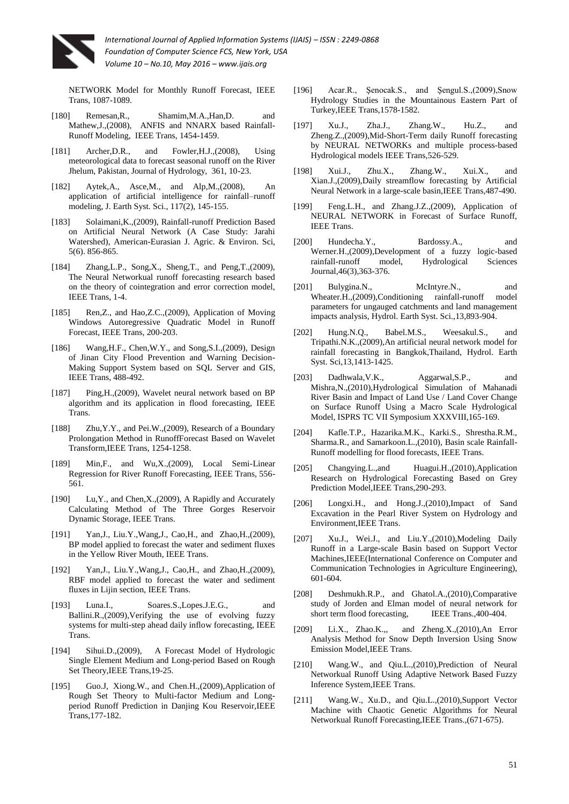

NETWORK Model for Monthly Runoff Forecast, IEEE Trans, 1087-1089.

- [180] Remesan,R., Shamim,M.A.,Han,D. and Mathew,J.,(2008), ANFIS and NNARX based Rainfall-Runoff Modeling, IEEE Trans, 1454-1459.
- [181] Archer, D.R., and Fowler, H.J., (2008), Using meteorological data to forecast seasonal runoff on the River Jhelum, Pakistan, Journal of Hydrology, 361, 10-23.
- [182] Aytek,A., Asce,M., and Alp,M.,(2008), An application of artificial intelligence for rainfall–runoff modeling, J. Earth Syst. Sci., 117(2), 145-155.
- [183] Solaimani, K., (2009), Rainfall-runoff Prediction Based on Artificial Neural Network (A Case Study: Jarahi Watershed), American-Eurasian J. Agric. & Environ. Sci, 5(6). 856-865.
- [184] Zhang,L.P., Song,X., Sheng,T., and Peng,T.,(2009), The Neural Networkual runoff forecasting research based on the theory of cointegration and error correction model, IEEE Trans, 1-4.
- [185] Ren, Z., and Hao, Z.C., (2009), Application of Moving Windows Autoregressive Quadratic Model in Runoff Forecast, IEEE Trans, 200-203.
- [186] Wang, H.F., Chen, W.Y., and Song, S.I., (2009), Design of Jinan City Flood Prevention and Warning Decision-Making Support System based on SQL Server and GIS, IEEE Trans, 488-492.
- Ping, H., (2009), Wavelet neural network based on BP algorithm and its application in flood forecasting, IEEE Trans.
- [188] Zhu, Y.Y., and Pei.W., (2009), Research of a Boundary Prolongation Method in RunoffForecast Based on Wavelet Transform,IEEE Trans, 1254-1258.
- [189] Min,F., and Wu,X.,(2009), Local Semi-Linear Regression for River Runoff Forecasting, IEEE Trans, 556- 561.
- [190] Lu, Y., and Chen, X., (2009), A Rapidly and Accurately Calculating Method of The Three Gorges Reservoir Dynamic Storage, IEEE Trans.
- [191] Yan,J., Liu.Y.,Wang,J., Cao,H., and Zhao,H.,(2009), BP model applied to forecast the water and sediment fluxes in the Yellow River Mouth, IEEE Trans.
- [192] Yan,J., Liu.Y.,Wang,J., Cao,H., and Zhao,H.,(2009), RBF model applied to forecast the water and sediment fluxes in Lijin section, IEEE Trans.
- [193] Luna.I., Soares.S.,Lopes.J.E.G., and Ballini.R.,(2009),Verifying the use of evolving fuzzy systems for multi-step ahead daily inflow forecasting, IEEE Trans.
- [194] Sihui.D.,(2009), A Forecast Model of Hydrologic Single Element Medium and Long-period Based on Rough Set Theory,IEEE Trans,19-25.
- [195] Guo.J, Xiong.W., and Chen.H.,(2009),Application of Rough Set Theory to Multi-factor Medium and Longperiod Runoff Prediction in Danjing Kou Reservoir,IEEE Trans,177-182.
- [196] Acar.R., Şenocak.S., and Şengul.S.,(2009),Snow Hydrology Studies in the Mountainous Eastern Part of Turkey,IEEE Trans,1578-1582.
- [197] Xu.J., Zha.J., Zhang.W., Hu.Z., and Zheng.Z.,(2009),Mid-Short-Term daily Runoff forecasting by NEURAL NETWORKs and multiple process-based Hydrological models IEEE Trans,526-529.
- [198] Xui.J., Zhu.X., Zhang.W., Xui.X., and Xian.J.,(2009),Daily streamflow forecasting by Artificial Neural Network in a large-scale basin,IEEE Trans,487-490.
- [199] Feng.L.H., and Zhang.J.Z.,(2009), Application of NEURAL NETWORK in Forecast of Surface Runoff, IEEE Trans.
- [200] Hundecha.Y., Bardossy.A., and Werner.H.,(2009),Development of a fuzzy logic-based rainfall-runoff model, Hydrological Sciences Journal,46(3),363-376.
- [201] Bulygina.N., McIntyre.N., and Wheater.H.,(2009),Conditioning rainfall-runoff model parameters for ungauged catchments and land management impacts analysis, Hydrol. Earth Syst. Sci.,13,893-904.
- [202] Hung.N.Q., Babel.M.S., Weesakul.S., and Tripathi.N.K.,(2009),An artificial neural network model for rainfall forecasting in Bangkok,Thailand, Hydrol. Earth Syst. Sci,13,1413-1425.
- [203] Dadhwala, V.K., Aggarwal, S.P., and Mishra,N.,(2010),Hydrological Simulation of Mahanadi River Basin and Impact of Land Use / Land Cover Change on Surface Runoff Using a Macro Scale Hydrological Model, ISPRS TC VII Symposium XXXVIII,165-169.
- [204] Kafle.T.P., Hazarika.M.K., Karki.S., Shrestha.R.M., Sharma.R., and Samarkoon.L.,(2010), Basin scale Rainfall-Runoff modelling for flood forecasts, IEEE Trans.
- [205] Changying.L.,and Huagui.H.,(2010),Application Research on Hydrological Forecasting Based on Grey Prediction Model,IEEE Trans,290-293.
- [206] Longxi.H., and Hong.J.,(2010),Impact of Sand Excavation in the Pearl River System on Hydrology and Environment,IEEE Trans.
- [207] Xu.J., Wei.J., and Liu.Y.,(2010),Modeling Daily Runoff in a Large-scale Basin based on Support Vector Machines,IEEE(International Conference on Computer and Communication Technologies in Agriculture Engineering), 601-604.
- [208] Deshmukh.R.P., and Ghatol.A.,(2010),Comparative study of Jorden and Elman model of neural network for short term flood forecasting, IEEE Trans.,400-404.
- [209] Li.X., Zhao.K.,, and Zheng.X.,(2010),An Error Analysis Method for Snow Depth Inversion Using Snow Emission Model,IEEE Trans.
- [210] Wang.W., and Qiu.L.,(2010), Prediction of Neural Networkual Runoff Using Adaptive Network Based Fuzzy Inference System,IEEE Trans.
- [211] Wang.W., Xu.D., and Qiu.L.,(2010),Support Vector Machine with Chaotic Genetic Algorithms for Neural Networkual Runoff Forecasting,IEEE Trans.,(671-675).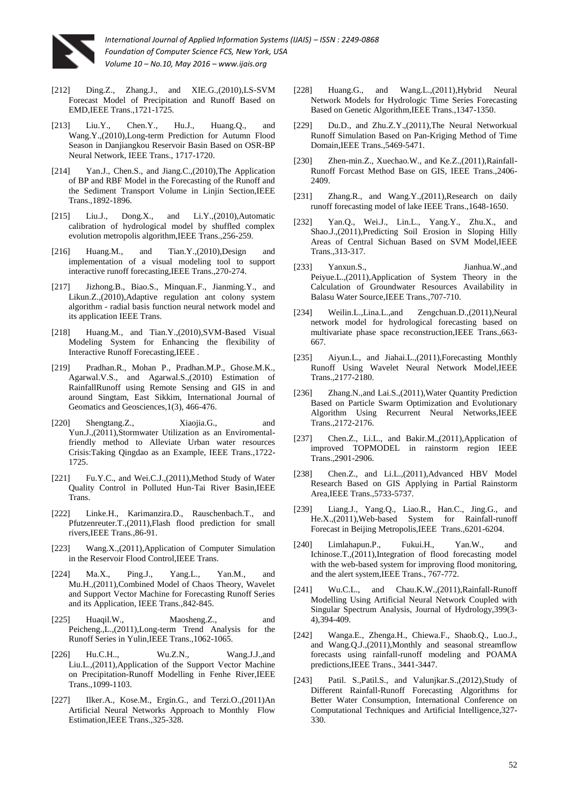

- [212] Ding.Z., Zhang.J., and XIE.G.,(2010),LS-SVM Forecast Model of Precipitation and Runoff Based on EMD,IEEE Trans.,1721-1725.
- [213] Liu.Y., Chen.Y., Hu.J., Huang.O., and Wang.Y.,(2010),Long-term Prediction for Autumn Flood Season in Danjiangkou Reservoir Basin Based on OSR-BP Neural Network, IEEE Trans., 1717-1720.
- [214] Yan.J., Chen.S., and Jiang.C.,(2010),The Application of BP and RBF Model in the Forecasting of the Runoff and the Sediment Transport Volume in Linjin Section,IEEE Trans.,1892-1896.
- [215] Liu.J., Dong.X., and Li.Y.,(2010),Automatic calibration of hydrological model by shuffled complex evolution metropolis algorithm,IEEE Trans.,256-259.
- [216] Huang.M., and Tian.Y.,(2010),Design and implementation of a visual modeling tool to support interactive runoff forecasting,IEEE Trans.,270-274.
- [217] Jizhong.B., Biao.S., Minquan.F., Jianming.Y., and Likun.Z.,(2010),Adaptive regulation ant colony system algorithm - radial basis function neural network model and its application IEEE Trans.
- [218] Huang.M., and Tian.Y.,(2010),SVM-Based Visual Modeling System for Enhancing the flexibility of Interactive Runoff Forecasting,IEEE .
- [219] Pradhan.R., Mohan P., Pradhan.M.P., Ghose.M.K., Agarwal.V.S., and Agarwal.S.,(2010) Estimation of RainfallRunoff using Remote Sensing and GIS in and around Singtam, East Sikkim, International Journal of Geomatics and Geosciences,1(3), 466-476.
- [220] Shengtang.Z., Xiaojia.G., and Yun.J.,(2011),Stormwater Utilization as an Enviromentalfriendly method to Alleviate Urban water resources Crisis:Taking Qingdao as an Example, IEEE Trans.,1722- 1725.
- [221] Fu.Y.C., and Wei.C.J.,(2011),Method Study of Water Quality Control in Polluted Hun-Tai River Basin,IEEE Trans.
- [222] Linke.H., Karimanzira.D., Rauschenbach.T., and Pfutzenreuter.T.,(2011),Flash flood prediction for small rivers,IEEE Trans.,86-91.
- [223] Wang.X.,(2011),Application of Computer Simulation in the Reservoir Flood Control,IEEE Trans.
- [224] Ma.X., Ping.J., Yang.L., Yan.M., and Mu.H.,(2011),Combined Model of Chaos Theory, Wavelet and Support Vector Machine for Forecasting Runoff Series and its Application, IEEE Trans.,842-845.
- [225] Huaqil.W., Maosheng.Z., and Peicheng.,L.,(2011),Long-term Trend Analysis for the Runoff Series in Yulin,IEEE Trans.,1062-1065.
- [226] Hu.C.H.., Wu.Z.N., Wang.J.J.,and Liu.L.,(2011),Application of the Support Vector Machine on Precipitation-Runoff Modelling in Fenhe River,IEEE Trans.,1099-1103.
- [227] Ilker.A., Kose.M., Ergin.G., and Terzi.O.,(2011)An Artificial Neural Networks Approach to Monthly Flow Estimation,IEEE Trans.,325-328.
- [228] Huang.G., and Wang.L.,(2011),Hybrid Neural Network Models for Hydrologic Time Series Forecasting Based on Genetic Algorithm,IEEE Trans.,1347-1350.
- [229] Du.D., and Zhu.Z.Y.,(2011), The Neural Networkual Runoff Simulation Based on Pan-Kriging Method of Time Domain,IEEE Trans.,5469-5471.
- [230] Zhen-min.Z., Xuechao.W., and Ke.Z.,(2011),Rainfall-Runoff Forcast Method Base on GIS, IEEE Trans.,2406- 2409
- [231] Zhang.R., and Wang.Y.,(2011),Research on daily runoff forecasting model of lake IEEE Trans.,1648-1650.
- [232] Yan.Q., Wei.J., Lin.L., Yang.Y., Zhu.X., and Shao.J.,(2011),Predicting Soil Erosion in Sloping Hilly Areas of Central Sichuan Based on SVM Model,IEEE Trans.,313-317.
- [233] Yanxun.S., Jianhua.W.,and Peiyue.L.,(2011),Application of System Theory in the Calculation of Groundwater Resources Availability in Balasu Water Source,IEEE Trans.,707-710.
- [234] Weilin.L.,Lina.L.,and Zengchuan.D.,(2011),Neural network model for hydrological forecasting based on multivariate phase space reconstruction,IEEE Trans.,663- 667.
- [235] Aiyun.L., and Jiahai.L.,(2011),Forecasting Monthly Runoff Using Wavelet Neural Network Model,IEEE Trans.,2177-2180.
- [236] Zhang.N.,and Lai.S.,(2011),Water Quantity Prediction Based on Particle Swarm Optimization and Evolutionary Algorithm Using Recurrent Neural Networks,IEEE Trans.,2172-2176.
- [237] Chen.Z., Li.L., and Bakir.M.,(2011),Application of improved TOPMODEL in rainstorm region IEEE Trans.,2901-2906.
- [238] Chen.Z., and Li.L.,(2011),Advanced HBV Model Research Based on GIS Applying in Partial Rainstorm Area,IEEE Trans.,5733-5737.
- [239] Liang.J., Yang.Q., Liao.R., Han.C., Jing.G., and He.X.,(2011),Web-based System for Rainfall-runoff Forecast in Beijing Metropolis,IEEE Trans.,6201-6204.
- [240] Limlahapun.P., Fukui.H., Yan.W., and Ichinose.T.,(2011),Integration of flood forecasting model with the web-based system for improving flood monitoring, and the alert system,IEEE Trans., 767-772.
- [241] Wu.C.L., and Chau.K.W.,(2011),Rainfall-Runoff Modelling Using Artificial Neural Network Coupled with Singular Spectrum Analysis, Journal of Hydrology,399(3- 4),394-409.
- [242] Wanga.E., Zhenga.H., Chiewa.F., Shaob.Q., Luo.J., and Wang.Q.J.,(2011),Monthly and seasonal streamflow forecasts using rainfall-runoff modeling and POAMA predictions,IEEE Trans., 3441-3447.
- [243] Patil. S.,Patil.S., and Valunjkar.S.,(2012),Study of Different Rainfall-Runoff Forecasting Algorithms for Better Water Consumption, International Conference on Computational Techniques and Artificial Intelligence,327- 330.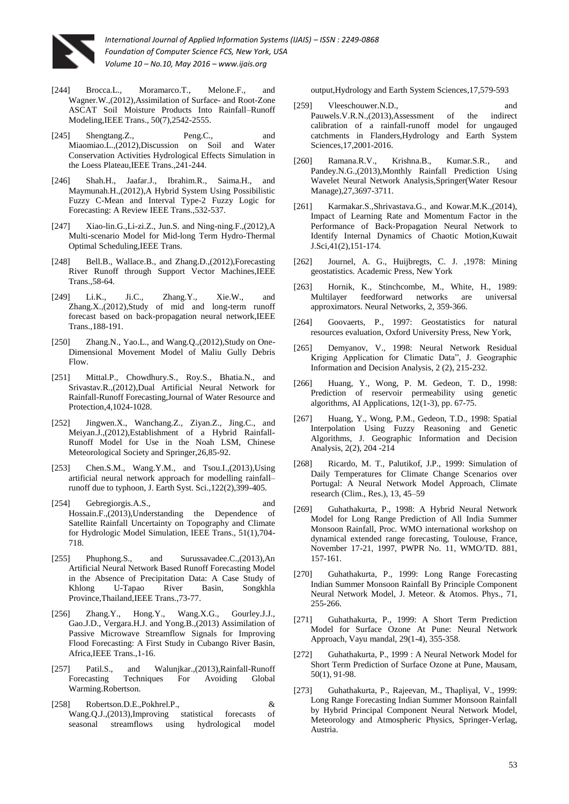

- [244] Brocca.L., Moramarco.T., Melone.F., and Wagner.W.,(2012),Assimilation of Surface- and Root-Zone ASCAT Soil Moisture Products Into Rainfall–Runoff Modeling,IEEE Trans., 50(7),2542-2555.
- [245] Shengtang.Z., Peng.C., and Miaomiao.L.,(2012),Discussion on Soil and Water Conservation Activities Hydrological Effects Simulation in the Loess Plateau,IEEE Trans.,241-244.
- [246] Shah.H., Jaafar.J., Ibrahim.R., Saima.H., and Maymunah.H.,(2012),A Hybrid System Using Possibilistic Fuzzy C-Mean and Interval Type-2 Fuzzy Logic for Forecasting: A Review IEEE Trans.,532-537.
- [247] Xiao-lin.G.,Li-zi.Z., Jun.S. and Ning-ning.F.,(2012),A Multi-scenario Model for Mid-long Term Hydro-Thermal Optimal Scheduling,IEEE Trans.
- [248] Bell.B., Wallace.B., and Zhang.D.,(2012),Forecasting River Runoff through Support Vector Machines,IEEE Trans.,58-64.
- [249] Li.K., Ji.C., Zhang.Y., Xie.W., and Zhang.X.,(2012),Study of mid and long-term runoff forecast based on back-propagation neural network,IEEE Trans.,188-191.
- [250] Zhang.N., Yao.L., and Wang.Q.,(2012),Study on One-Dimensional Movement Model of Maliu Gully Debris Flow.
- [251] Mittal.P., Chowdhury.S., Roy.S., Bhatia.N., and Srivastav.R.,(2012),Dual Artificial Neural Network for Rainfall-Runoff Forecasting,Journal of Water Resource and Protection,4,1024-1028.
- [252] Jingwen.X., Wanchang.Z., Ziyan.Z., Jing.C., and Meiyan.J.,(2012),Establishment of a Hybrid Rainfall-Runoff Model for Use in the Noah LSM, Chinese Meteorological Society and Springer,26,85-92.
- $Chen.S.M., Wang.Y.M., and Tsou.I., (2013), Using$ artificial neural network approach for modelling rainfall– runoff due to typhoon, J. Earth Syst. Sci.,122(2),399-405.
- [254] Gebregiorgis.A.S., and Hossain.F.,(2013),Understanding the Dependence of Satellite Rainfall Uncertainty on Topography and Climate for Hydrologic Model Simulation, IEEE Trans., 51(1),704- 718.
- [255] Phuphong.S., and Surussavadee.C.,(2013),An Artificial Neural Network Based Runoff Forecasting Model in the Absence of Precipitation Data: A Case Study of Khlong U-Tapao River Basin, Songkhla Province,Thailand,IEEE Trans.,73-77.
- [256] Zhang.Y., Hong.Y., Wang.X.G., Gourley.J.J., Gao.J.D., Vergara.H.J. and Yong.B.,(2013) Assimilation of Passive Microwave Streamflow Signals for Improving Flood Forecasting: A First Study in Cubango River Basin, Africa,IEEE Trans.,1-16.
- [257] Patil.S., and Walunjkar.,(2013),Rainfall-Runoff Forecasting Techniques For Avoiding Global Warming.Robertson.
- [258] Robertson.D.E.,Pokhrel.P., & Wang.Q.J.,(2013),Improving statistical forecasts of seasonal streamflows using hydrological model

output,Hydrology and Earth System Sciences,17,579-593

- [259] Vleeschouwer.N.D., and Pauwels.V.R.N.,(2013),Assessment of the indirect calibration of a rainfall-runoff model for ungauged catchments in Flanders,Hydrology and Earth System Sciences,17,2001-2016.
- [260] Ramana.R.V., Krishna.B., Kumar.S.R., and Pandey.N.G.,(2013),Monthly Rainfall Prediction Using Wavelet Neural Network Analysis,Springer(Water Resour Manage),27,3697-3711.
- [261] Karmakar.S.,Shrivastava.G., and Kowar.M.K.,(2014), Impact of Learning Rate and Momentum Factor in the Performance of Back-Propagation Neural Network to Identify Internal Dynamics of Chaotic Motion,Kuwait J.Sci,41(2),151-174.
- [262] Journel, A. G., Huijbregts, C. J. ,1978: Mining geostatistics. Academic Press, New York
- [263] Hornik, K., Stinchcombe, M., White, H., 1989: Multilayer feedforward networks are universal approximators. Neural Networks, 2, 359-366.
- [264] Goovaerts, P., 1997: Geostatistics for natural resources evaluation, Oxford University Press, New York,
- [265] Demyanov, V., 1998: Neural Network Residual Kriging Application for Climatic Data", J. Geographic Information and Decision Analysis, 2 (2), 215-232.
- [266] Huang, Y., Wong, P. M. Gedeon, T. D., 1998: Prediction of reservoir permeability using genetic algorithms, AI Applications, 12(1-3), pp. 67-75.
- [267] Huang, Y., Wong, P.M., Gedeon, T.D., 1998: Spatial Interpolation Using Fuzzy Reasoning and Genetic Algorithms, J. Geographic Information and Decision Analysis, 2(2), 204 -214
- [268] Ricardo, M. T., Palutikof, J.P., 1999: Simulation of Daily Temperatures for Climate Change Scenarios over Portugal: A Neural Network Model Approach, Climate research (Clim., Res.), 13, 45–59
- [269] Guhathakurta, P., 1998: A Hybrid Neural Network Model for Long Range Prediction of All India Summer Monsoon Rainfall, Proc. WMO international workshop on dynamical extended range forecasting, Toulouse, France, November 17-21, 1997, PWPR No. 11, WMO/TD. 881, 157-161.
- [270] Guhathakurta, P., 1999: Long Range Forecasting Indian Summer Monsoon Rainfall By Principle Component Neural Network Model, J. Meteor. & Atomos. Phys., 71, 255-266.
- [271] Guhathakurta, P., 1999: A Short Term Prediction Model for Surface Ozone At Pune: Neural Network Approach, Vayu mandal, 29(1-4), 355-358.
- [272] Guhathakurta, P., 1999 : A Neural Network Model for Short Term Prediction of Surface Ozone at Pune, Mausam, 50(1), 91-98.
- [273] Guhathakurta, P., Rajeevan, M., Thapliyal, V., 1999: Long Range Forecasting Indian Summer Monsoon Rainfall by Hybrid Principal Component Neural Network Model, Meteorology and Atmospheric Physics, Springer-Verlag, Austria.